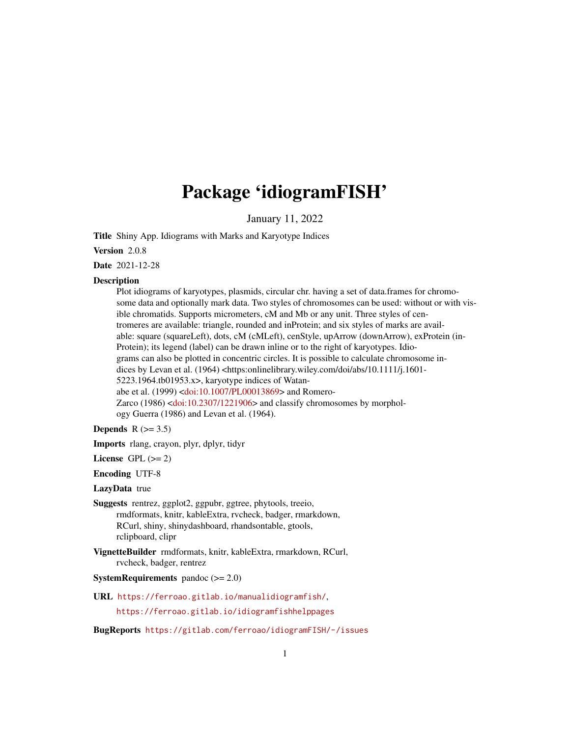# Package 'idiogramFISH'

January 11, 2022

Title Shiny App. Idiograms with Marks and Karyotype Indices

Version 2.0.8

Date 2021-12-28

#### **Description**

Plot idiograms of karyotypes, plasmids, circular chr. having a set of data.frames for chromosome data and optionally mark data. Two styles of chromosomes can be used: without or with visible chromatids. Supports micrometers, cM and Mb or any unit. Three styles of centromeres are available: triangle, rounded and inProtein; and six styles of marks are available: square (squareLeft), dots, cM (cMLeft), cenStyle, upArrow (downArrow), exProtein (in-Protein); its legend (label) can be drawn inline or to the right of karyotypes. Idiograms can also be plotted in concentric circles. It is possible to calculate chromosome indices by Levan et al. (1964) <https:onlinelibrary.wiley.com/doi/abs/10.1111/j.1601-5223.1964.tb01953.x>, karyotype indices of Watanabe et al. (1999) [<doi:10.1007/PL00013869>](https://doi.org/10.1007/PL00013869) and Romero-Zarco (1986) [<doi:10.2307/1221906>](https://doi.org/10.2307/1221906) and classify chromosomes by morphology Guerra (1986) and Levan et al. (1964).

Depends  $R$  ( $>= 3.5$ )

Imports rlang, crayon, plyr, dplyr, tidyr

License GPL  $(>= 2)$ 

Encoding UTF-8

LazyData true

Suggests rentrez, ggplot2, ggpubr, ggtree, phytools, treeio, rmdformats, knitr, kableExtra, rvcheck, badger, rmarkdown, RCurl, shiny, shinydashboard, rhandsontable, gtools, rclipboard, clipr

VignetteBuilder rmdformats, knitr, kableExtra, rmarkdown, RCurl, rvcheck, badger, rentrez

**SystemRequirements** pandoc  $(>= 2.0)$ 

URL <https://ferroao.gitlab.io/manualidiogramfish/>,

<https://ferroao.gitlab.io/idiogramfishhelppages>

BugReports <https://gitlab.com/ferroao/idiogramFISH/-/issues>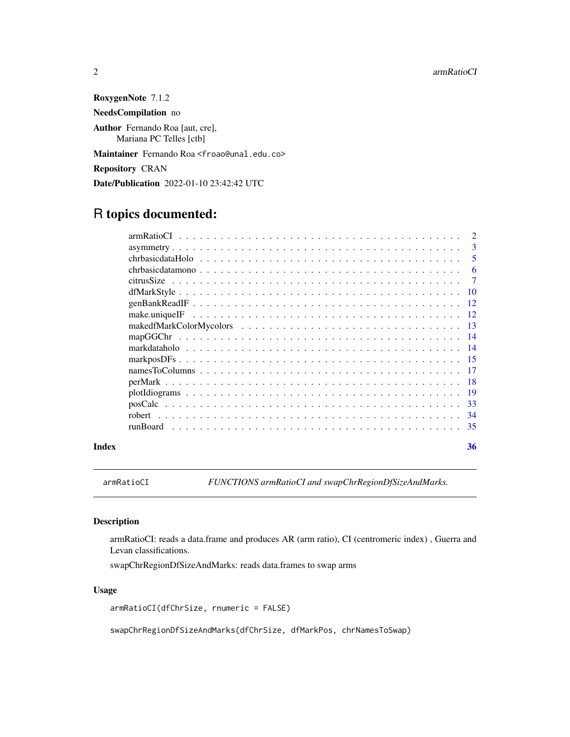<span id="page-1-0"></span>RoxygenNote 7.1.2 NeedsCompilation no Author Fernando Roa [aut, cre], Mariana PC Telles [ctb] Maintainer Fernando Roa <froao@unal.edu.co> Repository CRAN Date/Publication 2022-01-10 23:42:42 UTC

# R topics documented:

|                                                                                                        | $\mathcal{D}$ |
|--------------------------------------------------------------------------------------------------------|---------------|
|                                                                                                        | 3             |
|                                                                                                        | 5             |
| $chrbasicdatamono \ldots \ldots \ldots \ldots \ldots \ldots \ldots \ldots \ldots \ldots \ldots \ldots$ | 6             |
|                                                                                                        | 7             |
|                                                                                                        | -10           |
|                                                                                                        | 12            |
|                                                                                                        | 12            |
|                                                                                                        | -13           |
|                                                                                                        | -14           |
|                                                                                                        | -14           |
|                                                                                                        |               |
|                                                                                                        | -17           |
|                                                                                                        | -18           |
|                                                                                                        | 19            |
|                                                                                                        | -33           |
|                                                                                                        | -34           |
| runBoard                                                                                               | -35           |
|                                                                                                        |               |

#### **Index** [36](#page-35-0)

<span id="page-1-1"></span>armRatioCI *FUNCTIONS armRatioCI and swapChrRegionDfSizeAndMarks.*

#### Description

armRatioCI: reads a data.frame and produces AR (arm ratio), CI (centromeric index) , Guerra and Levan classifications.

swapChrRegionDfSizeAndMarks: reads data.frames to swap arms

#### Usage

armRatioCI(dfChrSize, rnumeric = FALSE)

swapChrRegionDfSizeAndMarks(dfChrSize, dfMarkPos, chrNamesToSwap)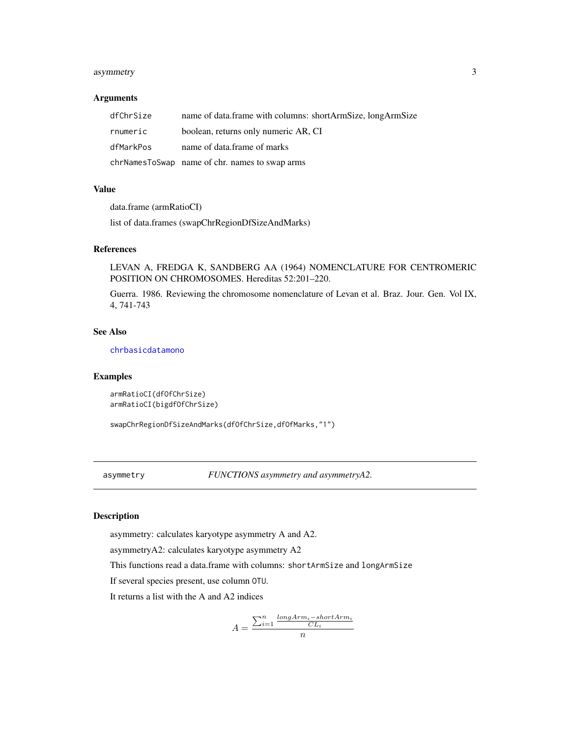#### <span id="page-2-0"></span>asymmetry 3

#### Arguments

| dfChrSize | name of data.frame with columns: shortArmSize, longArmSize |
|-----------|------------------------------------------------------------|
| rnumeric  | boolean, returns only numeric AR, CI                       |
| dfMarkPos | name of data.frame of marks                                |
|           | chrNamesToSwap name of chr. names to swap arms             |

#### Value

data.frame (armRatioCI)

list of data.frames (swapChrRegionDfSizeAndMarks)

#### References

LEVAN A, FREDGA K, SANDBERG AA (1964) NOMENCLATURE FOR CENTROMERIC POSITION ON CHROMOSOMES. Hereditas 52:201–220.

Guerra. 1986. Reviewing the chromosome nomenclature of Levan et al. Braz. Jour. Gen. Vol IX, 4, 741-743

#### See Also

[chrbasicdatamono](#page-5-1)

#### Examples

```
armRatioCI(dfOfChrSize)
armRatioCI(bigdfOfChrSize)
```
swapChrRegionDfSizeAndMarks(dfOfChrSize,dfOfMarks,"1")

<span id="page-2-2"></span>asymmetry *FUNCTIONS asymmetry and asymmetryA2.*

#### <span id="page-2-1"></span>Description

asymmetry: calculates karyotype asymmetry A and A2.

asymmetryA2: calculates karyotype asymmetry A2

This functions read a data.frame with columns: shortArmSize and longArmSize

If several species present, use column OTU.

It returns a list with the A and A2 indices

$$
A = \frac{\sum_{i=1}^{n} \frac{longArm_i - short Arm_i}{CL_i}}{n}
$$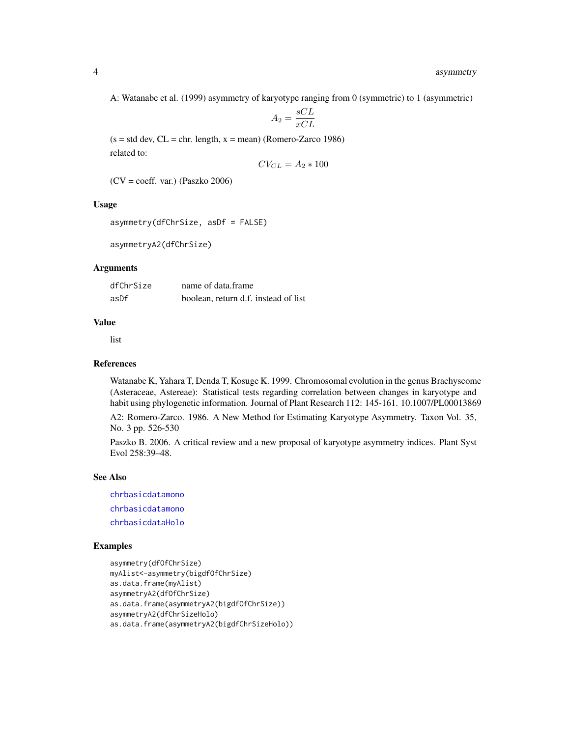<span id="page-3-0"></span>A: Watanabe et al. (1999) asymmetry of karyotype ranging from 0 (symmetric) to 1 (asymmetric)

$$
A_2 = \frac{sCL}{xCL}
$$

 $(s = std dev, CL = chr. length, x = mean)$  (Romero-Zarco 1986) related to:

$$
CV_{CL} = A_2 * 100
$$

(CV = coeff. var.) (Paszko 2006)

# Usage

```
asymmetry(dfChrSize, asDf = FALSE)
```
asymmetryA2(dfChrSize)

### Arguments

| dfChrSize | name of data.frame                   |
|-----------|--------------------------------------|
| asDf      | boolean, return d.f. instead of list |

#### Value

list

#### References

Watanabe K, Yahara T, Denda T, Kosuge K. 1999. Chromosomal evolution in the genus Brachyscome (Asteraceae, Astereae): Statistical tests regarding correlation between changes in karyotype and habit using phylogenetic information. Journal of Plant Research 112: 145-161. 10.1007/PL00013869

A2: Romero-Zarco. 1986. A New Method for Estimating Karyotype Asymmetry. Taxon Vol. 35, No. 3 pp. 526-530

Paszko B. 2006. A critical review and a new proposal of karyotype asymmetry indices. Plant Syst Evol 258:39–48.

#### See Also

[chrbasicdatamono](#page-5-1) [chrbasicdatamono](#page-5-1) [chrbasicdataHolo](#page-4-1)

#### Examples

```
asymmetry(dfOfChrSize)
myAlist<-asymmetry(bigdfOfChrSize)
as.data.frame(myAlist)
asymmetryA2(dfOfChrSize)
as.data.frame(asymmetryA2(bigdfOfChrSize))
asymmetryA2(dfChrSizeHolo)
as.data.frame(asymmetryA2(bigdfChrSizeHolo))
```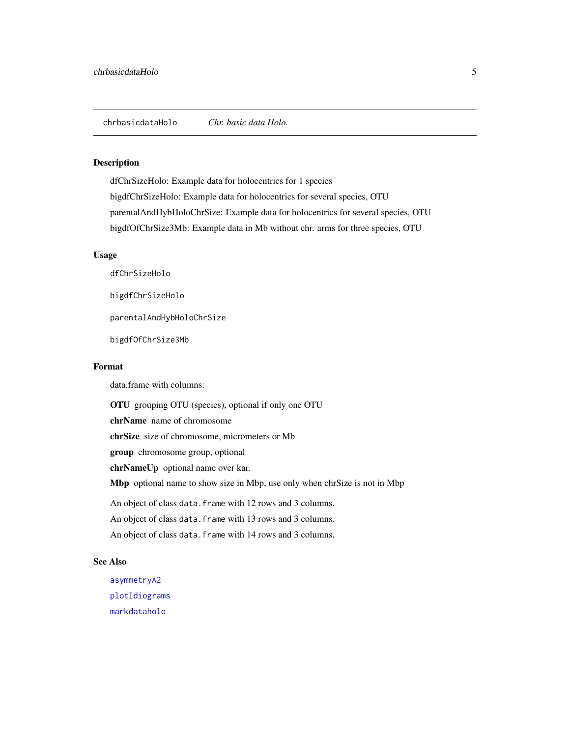#### <span id="page-4-1"></span><span id="page-4-0"></span>Description

dfChrSizeHolo: Example data for holocentrics for 1 species bigdfChrSizeHolo: Example data for holocentrics for several species, OTU parentalAndHybHoloChrSize: Example data for holocentrics for several species, OTU bigdfOfChrSize3Mb: Example data in Mb without chr. arms for three species, OTU

#### Usage

dfChrSizeHolo

bigdfChrSizeHolo

parentalAndHybHoloChrSize

bigdfOfChrSize3Mb

#### Format

data.frame with columns:

OTU grouping OTU (species), optional if only one OTU

chrName name of chromosome

chrSize size of chromosome, micrometers or Mb

group chromosome group, optional

chrNameUp optional name over kar.

Mbp optional name to show size in Mbp, use only when chrSize is not in Mbp

An object of class data. frame with 12 rows and 3 columns.

An object of class data.frame with 13 rows and 3 columns.

An object of class data.frame with 14 rows and 3 columns.

#### See Also

[asymmetryA2](#page-2-1) [plotIdiograms](#page-18-1) [markdataholo](#page-13-1)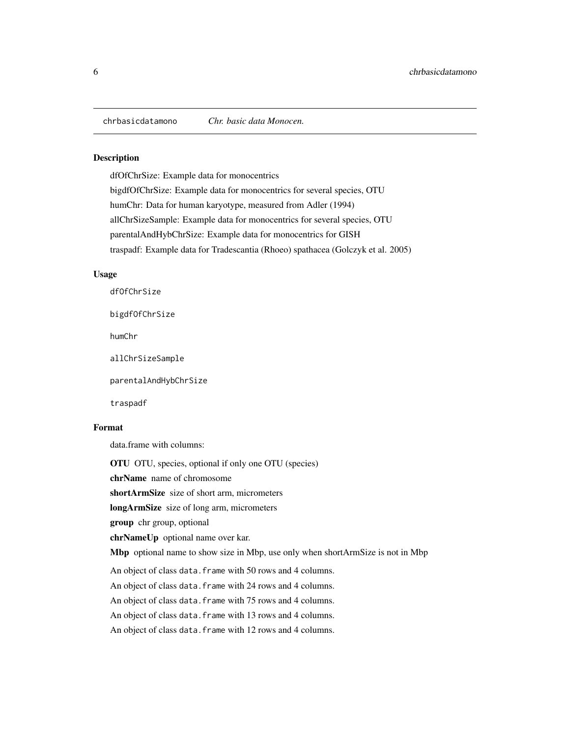<span id="page-5-1"></span><span id="page-5-0"></span>chrbasicdatamono *Chr. basic data Monocen.*

#### **Description**

dfOfChrSize: Example data for monocentrics bigdfOfChrSize: Example data for monocentrics for several species, OTU humChr: Data for human karyotype, measured from Adler (1994) allChrSizeSample: Example data for monocentrics for several species, OTU parentalAndHybChrSize: Example data for monocentrics for GISH traspadf: Example data for Tradescantia (Rhoeo) spathacea (Golczyk et al. 2005)

#### Usage

dfOfChrSize

bigdfOfChrSize

humChr

allChrSizeSample

parentalAndHybChrSize

traspadf

#### Format

data.frame with columns:

OTU OTU, species, optional if only one OTU (species)

chrName name of chromosome

shortArmSize size of short arm, micrometers

longArmSize size of long arm, micrometers

group chr group, optional

chrNameUp optional name over kar.

Mbp optional name to show size in Mbp, use only when shortArmSize is not in Mbp

An object of class data. frame with 50 rows and 4 columns.

An object of class data. frame with 24 rows and 4 columns.

An object of class data. frame with 75 rows and 4 columns.

An object of class data.frame with 13 rows and 4 columns.

An object of class data. frame with 12 rows and 4 columns.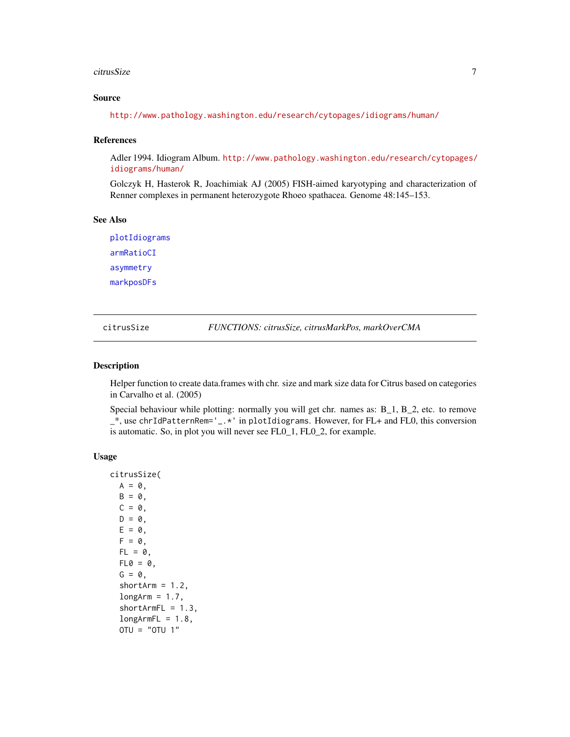#### <span id="page-6-0"></span>citrusSize 7 and 2008 and 2009 and 2009 and 2009 and 2009 and 2009 and 2009 and 2009 and 2009 and 2009 and 200

#### Source

<http://www.pathology.washington.edu/research/cytopages/idiograms/human/>

#### References

Adler 1994. Idiogram Album. [http://www.pathology.washington.edu/research/cytopages/](http://www.pathology.washington.edu/research/cytopages/idiograms/human/) [idiograms/human/](http://www.pathology.washington.edu/research/cytopages/idiograms/human/)

Golczyk H, Hasterok R, Joachimiak AJ (2005) FISH-aimed karyotyping and characterization of Renner complexes in permanent heterozygote Rhoeo spathacea. Genome 48:145–153.

#### See Also

[plotIdiograms](#page-18-1) [armRatioCI](#page-1-1) [asymmetry](#page-2-2) [markposDFs](#page-14-1)

citrusSize *FUNCTIONS: citrusSize, citrusMarkPos, markOverCMA*

#### Description

Helper function to create data.frames with chr. size and mark size data for Citrus based on categories in Carvalho et al. (2005)

Special behaviour while plotting: normally you will get chr. names as: B\_1, B\_2, etc. to remove \_\*, use chrIdPatternRem='\_.\*' in plotIdiograms. However, for FL+ and FL0, this conversion is automatic. So, in plot you will never see FL0\_1, FL0\_2, for example.

```
citrusSize(
  A = 0,
 B = 0,
 C = 0,
 D = 0,
 E = 0,
  F = 0,
  FL = 0,
  FL0 = 0,
  G = 0,
  shortArm = 1.2,
  longArm = 1.7,shortArmFL = 1.3,
  longArmFL = 1.8,OTU = "OTU 1"
```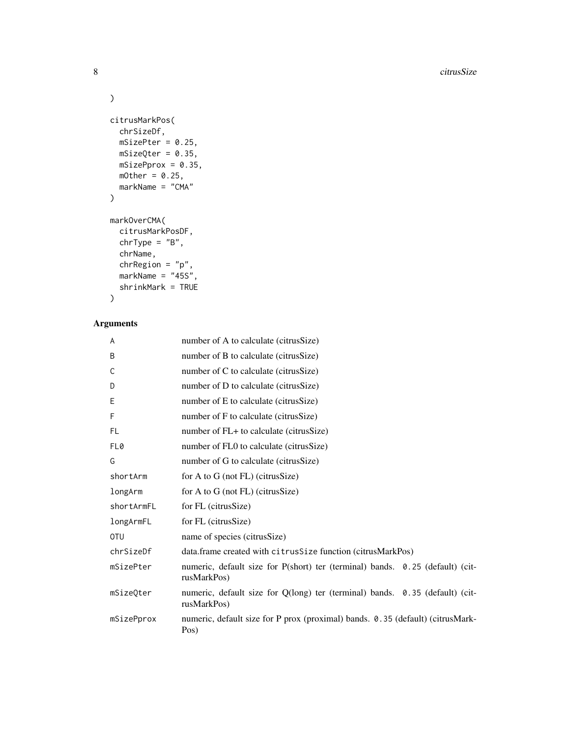```
\lambdacitrusMarkPos(
  chrSizeDf,
  mSizePter = 0.25,
  mSizeQter = 0.35,
  mSizePprox = 0.35,
  mOther = 0.25,
  markName = "CMA"
\mathcal{L}markOverCMA(
  citrusMarkPosDF,
  chrType = "B",chrName,
  chrRegion = "p",
  markName = "45S",
  shrinkMark = TRUE
```

```
\mathcal{L}
```
### Arguments

| A          | number of A to calculate (citrusSize)                                                        |
|------------|----------------------------------------------------------------------------------------------|
| B          | number of B to calculate (citrusSize)                                                        |
| С          | number of C to calculate (citrusSize)                                                        |
| D          | number of D to calculate (citrusSize)                                                        |
| Е          | number of E to calculate (citrusSize)                                                        |
| F          | number of F to calculate (citrusSize)                                                        |
| <b>FL</b>  | number of FL+ to calculate (citrusSize)                                                      |
| FL0        | number of FL0 to calculate (citrusSize)                                                      |
| G          | number of G to calculate (citrusSize)                                                        |
| shortArm   | for A to G (not FL) (citrus Size)                                                            |
| longArm    | for A to G (not FL) (citrus Size)                                                            |
| shortArmFL | for FL (citrusSize)                                                                          |
| longArmFL  | for FL (citrusSize)                                                                          |
| 0TU        | name of species (citrusSize)                                                                 |
| chrSizeDf  | data.frame created with citrus Size function (citrus MarkPos)                                |
| mSizePter  | numeric, default size for P(short) ter (terminal) bands. 0.25 (default) (cit-<br>rusMarkPos) |
| mSizeOter  | numeric, default size for Q(long) ter (terminal) bands. 0.35 (default) (cit-<br>rusMarkPos)  |
| mSizePprox | numeric, default size for P prox (proximal) bands. 0.35 (default) (citrusMark-<br>Pos)       |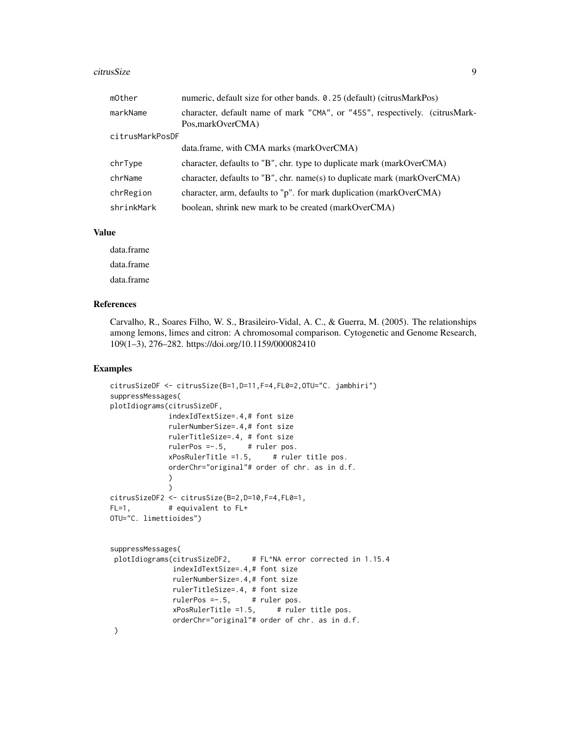#### citrusSize 9

| mOther          | numeric, default size for other bands. 0.25 (default) (citrusMarkPos)                           |
|-----------------|-------------------------------------------------------------------------------------------------|
| markName        | character, default name of mark "CMA", or "455", respectively. (citrusMark-<br>Pos.markOverCMA) |
| citrusMarkPosDF |                                                                                                 |
|                 | data.frame, with CMA marks (markOverCMA)                                                        |
| chrType         | character, defaults to "B", chr. type to duplicate mark (markOverCMA)                           |
| chrName         | character, defaults to "B", chr. name(s) to duplicate mark (markOverCMA)                        |
| chrRegion       | character, arm, defaults to "p". for mark duplication (markOverCMA)                             |
| shrinkMark      | boolean, shrink new mark to be created (markOverCMA)                                            |

#### Value

data.frame data.frame data.frame

#### References

Carvalho, R., Soares Filho, W. S., Brasileiro-Vidal, A. C., & Guerra, M. (2005). The relationships among lemons, limes and citron: A chromosomal comparison. Cytogenetic and Genome Research, 109(1–3), 276–282. https://doi.org/10.1159/000082410

#### Examples

```
citrusSizeDF <- citrusSize(B=1,D=11,F=4,FL0=2,OTU="C. jambhiri")
suppressMessages(
plotIdiograms(citrusSizeDF,
             indexIdTextSize=.4,# font size
             rulerNumberSize=.4,# font size
             rulerTitleSize=.4, # font size
             rulerPos =-.5, # ruler pos.
             xPosRuleTitle = 1.5, # ruler title pos.
             orderChr="original"# order of chr. as in d.f.
             )
             )
citrusSizeDF2 <- citrusSize(B=2,D=10,F=4,FL0=1,
FL=1, # equivalent to FL+OTU="C. limettioides")
suppressMessages(
plotIdiograms(citrusSizeDF2, # FL^NA error corrected in 1.15.4
              indexIdTextSize=.4,# font size
              rulerNumberSize=.4,# font size
              rulerTitleSize=.4, # font size
              rulerPos =-.5, # ruler pos.
              xPosRulerTitle =1.5, # ruler title pos.
              orderChr="original"# order of chr. as in d.f.
)
```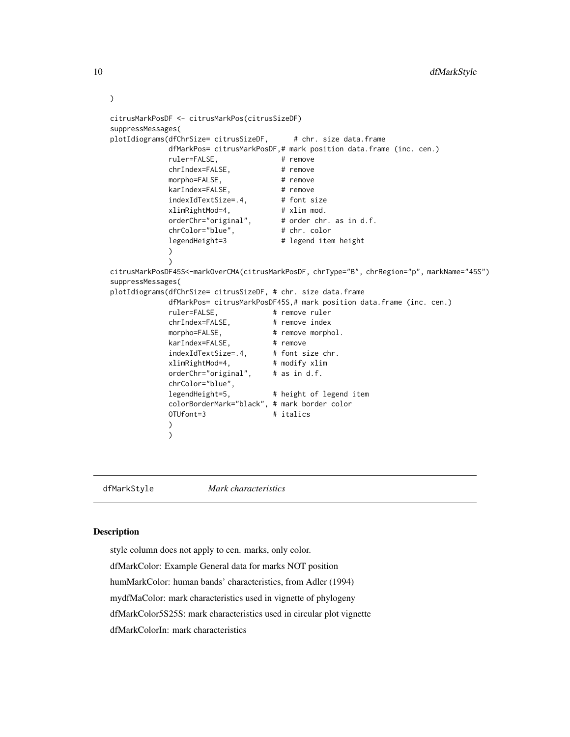```
citrusMarkPosDF <- citrusMarkPos(citrusSizeDF)
suppressMessages(
plotIdiograms(dfChrSize= citrusSizeDF, # chr. size data.frame
             dfMarkPos= citrusMarkPosDF,# mark position data.frame (inc. cen.)
             ruler=FALSE, # remove
             chrIndex=FALSE, # remove
             morpho=FALSE, # remove
             karIndex=FALSE, # remove<br>indexIdTextSize=.4, # font size
             indexIdTextSize=.4, # font size<br>xlimRightMod=4, # xlim mod.
             xlimRightMod=4,
             orderChr="original", # order chr. as in d.f.<br>chrColor="blue", # chr. color
             chrColor="blue",
             legendHeight=3 # legend item height
             )
             )
citrusMarkPosDF45S<-markOverCMA(citrusMarkPosDF, chrType="B", chrRegion="p", markName="45S")
suppressMessages(
plotIdiograms(dfChrSize= citrusSizeDF, # chr. size data.frame
             dfMarkPos= citrusMarkPosDF45S,# mark position data.frame (inc. cen.)
             ruler=FALSE, # remove ruler
             chrIndex=FALSE, # remove index
             morpho=FALSE, # remove morphol.<br>karIndex=FALSE, # remove
             karIndex=FALSE,
              indexIdTextSize=.4, # font size chr.
              xlimRightMod=4, # modify xlim
             orderChr="original", # as in d.f.
             chrColor="blue",
                                     # height of legend item
             colorBorderMark="black", # mark border color
             OTUfont=3 # italics
             )
             )
```
dfMarkStyle *Mark characteristics*

#### <span id="page-9-1"></span>**Description**

style column does not apply to cen. marks, only color. dfMarkColor: Example General data for marks NOT position humMarkColor: human bands' characteristics, from Adler (1994) mydfMaColor: mark characteristics used in vignette of phylogeny dfMarkColor5S25S: mark characteristics used in circular plot vignette dfMarkColorIn: mark characteristics

<span id="page-9-0"></span>

)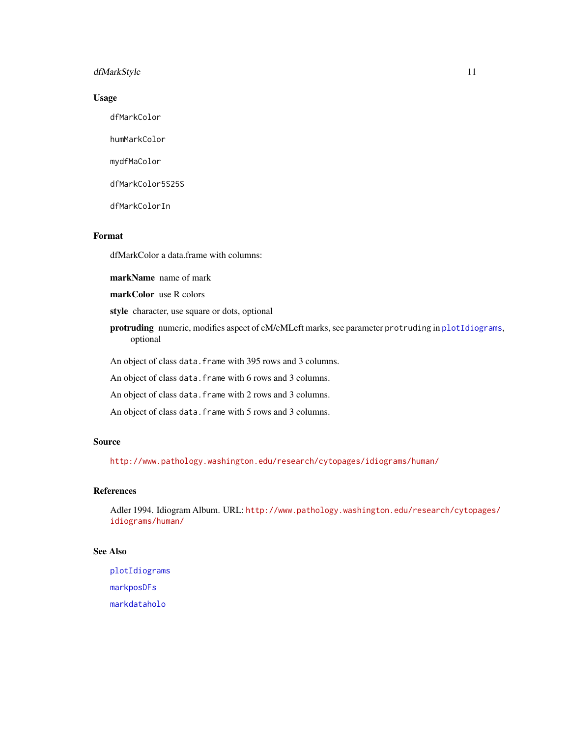#### <span id="page-10-0"></span>dfMarkStyle 11

#### Usage

dfMarkColor

humMarkColor

mydfMaColor

dfMarkColor5S25S

dfMarkColorIn

#### Format

dfMarkColor a data.frame with columns:

markName name of mark

markColor use R colors

style character, use square or dots, optional

protruding numeric, modifies aspect of cM/cMLeft marks, see parameter protruding in [plotIdiograms](#page-18-1), optional

An object of class data. frame with 395 rows and 3 columns.

An object of class data. frame with 6 rows and 3 columns.

An object of class data. frame with 2 rows and 3 columns.

An object of class data. frame with 5 rows and 3 columns.

#### Source

<http://www.pathology.washington.edu/research/cytopages/idiograms/human/>

#### References

Adler 1994. Idiogram Album. URL: [http://www.pathology.washington.edu/research/cytop](http://www.pathology.washington.edu/research/cytopages/idiograms/human/)ages/ [idiograms/human/](http://www.pathology.washington.edu/research/cytopages/idiograms/human/)

#### See Also

[plotIdiograms](#page-18-1) [markposDFs](#page-14-1) [markdataholo](#page-13-1)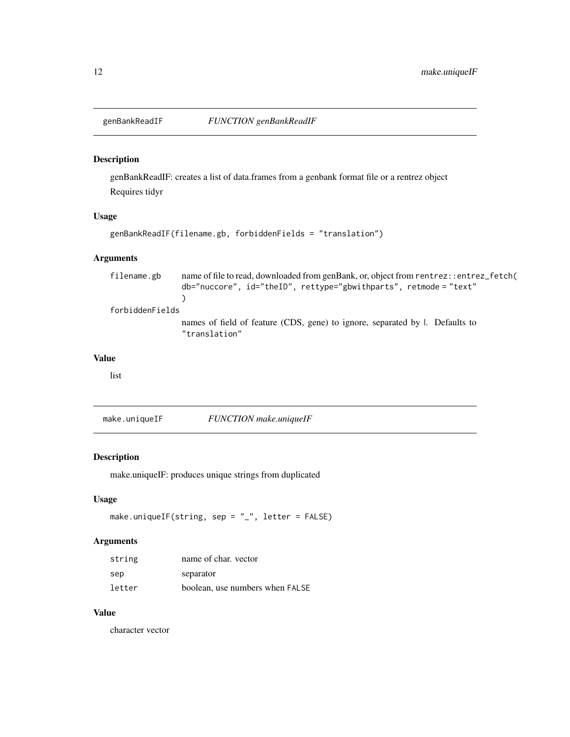<span id="page-11-0"></span>

#### Description

genBankReadIF: creates a list of data.frames from a genbank format file or a rentrez object Requires tidyr

#### Usage

```
genBankReadIF(filename.gb, forbiddenFields = "translation")
```
#### Arguments

filename.gb name of file to read, downloaded from genBank, or, object from rentrez::entrez\_fetch( db="nuccore", id="theID", rettype="gbwithparts", retmode = "text"  $\mathcal{L}$ forbiddenFields names of field of feature (CDS, gene) to ignore, separated by |. Defaults to "translation"

#### Value

list

make.uniqueIF *FUNCTION make.uniqueIF*

#### Description

make.uniqueIF: produces unique strings from duplicated

#### Usage

make.uniqueIF(string, sep = "\_", letter = FALSE)

#### Arguments

| string | name of char. vector            |
|--------|---------------------------------|
| sep    | separator                       |
| letter | boolean, use numbers when FALSE |

#### Value

character vector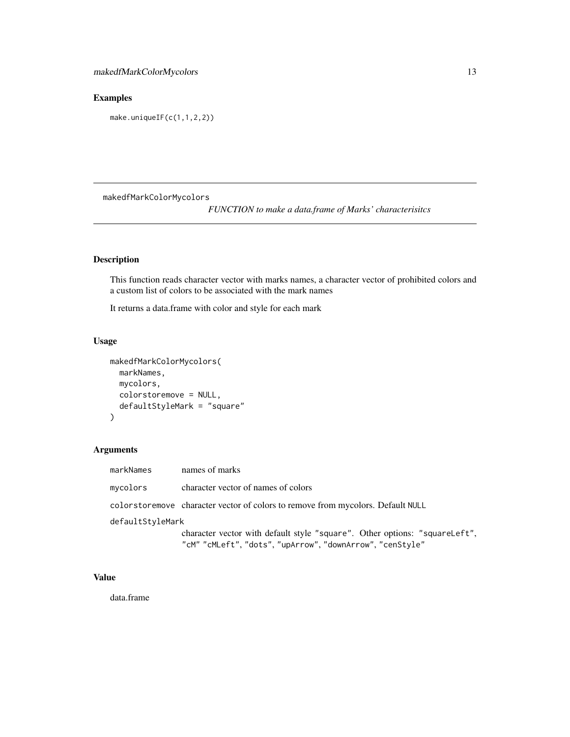# <span id="page-12-0"></span>Examples

make.uniqueIF(c(1,1,2,2))

makedfMarkColorMycolors

*FUNCTION to make a data.frame of Marks' characterisitcs*

#### Description

This function reads character vector with marks names, a character vector of prohibited colors and a custom list of colors to be associated with the mark names

It returns a data.frame with color and style for each mark

#### Usage

```
makedfMarkColorMycolors(
  markNames,
  mycolors,
  colorstoremove = NULL,
  defaultStyleMark = "square"
\mathcal{E}
```
#### Arguments

| markNames        | names of marks                                                                  |  |
|------------------|---------------------------------------------------------------------------------|--|
| mycolors         | character vector of names of colors                                             |  |
|                  | colorstoremove character vector of colors to remove from mycolors. Default NULL |  |
| defaultStyleMark |                                                                                 |  |
|                  | character vector with default style "square". Other options: "squareLeft",      |  |
|                  | "cM" "cMLeft", "dots", "upArrow", "downArrow", "cenStyle"                       |  |

#### Value

data.frame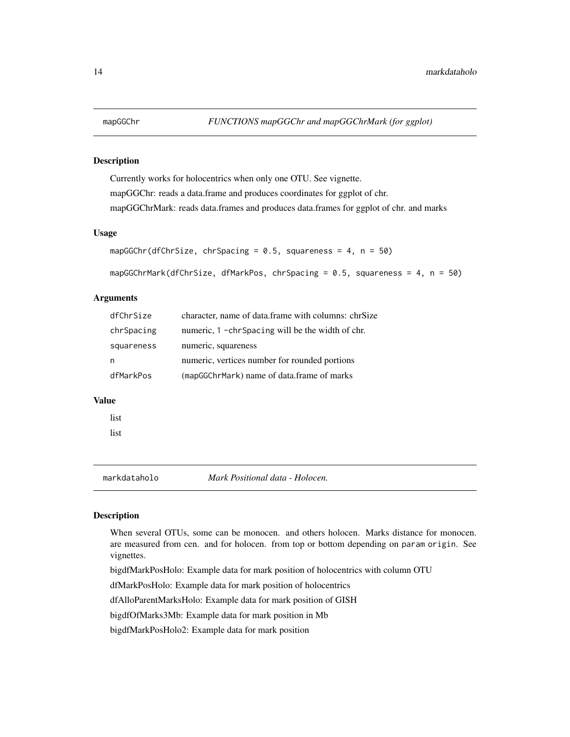#### <span id="page-13-0"></span>Description

Currently works for holocentrics when only one OTU. See vignette. mapGGChr: reads a data.frame and produces coordinates for ggplot of chr. mapGGChrMark: reads data.frames and produces data.frames for ggplot of chr. and marks

#### Usage

```
mapGGChr(dfChrSize, chrSpacing = 0.5, squareness = 4, n = 50)
```

```
mapGGChrMark(dfChrSize, dfMarkPos, chrSpacing = 0.5, squareness = 4, n = 50)
```
#### **Arguments**

| dfChrSize  | character, name of data frame with columns: chrSize |
|------------|-----------------------------------------------------|
| chrSpacing | numeric, 1 -chr Spacing will be the width of chr.   |
| squareness | numeric, squareness                                 |
| n          | numeric, vertices number for rounded portions       |
| dfMarkPos  | (mapGGChrMark) name of data.frame of marks          |

#### Value

list

list

<span id="page-13-1"></span>markdataholo *Mark Positional data - Holocen.*

#### Description

When several OTUs, some can be monocen. and others holocen. Marks distance for monocen. are measured from cen. and for holocen. from top or bottom depending on param origin. See vignettes.

bigdfMarkPosHolo: Example data for mark position of holocentrics with column OTU

dfMarkPosHolo: Example data for mark position of holocentrics

dfAlloParentMarksHolo: Example data for mark position of GISH

bigdfOfMarks3Mb: Example data for mark position in Mb

bigdfMarkPosHolo2: Example data for mark position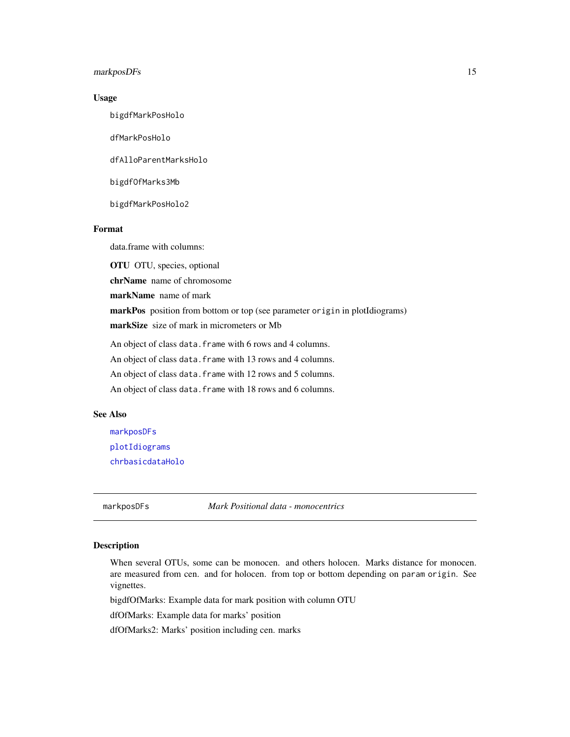#### <span id="page-14-0"></span>markposDFs 15

#### Usage

bigdfMarkPosHolo

dfMarkPosHolo

dfAlloParentMarksHolo

bigdfOfMarks3Mb

bigdfMarkPosHolo2

#### Format

data.frame with columns:

OTU OTU, species, optional

chrName name of chromosome

markName name of mark

markPos position from bottom or top (see parameter origin in plotIdiograms)

markSize size of mark in micrometers or Mb

An object of class data. frame with 6 rows and 4 columns.

An object of class data.frame with 13 rows and 4 columns.

An object of class data. frame with 12 rows and 5 columns.

An object of class data. frame with 18 rows and 6 columns.

#### See Also

[markposDFs](#page-14-1) [plotIdiograms](#page-18-1) [chrbasicdataHolo](#page-4-1)

<span id="page-14-1"></span>markposDFs *Mark Positional data - monocentrics*

#### Description

When several OTUs, some can be monocen. and others holocen. Marks distance for monocen. are measured from cen. and for holocen. from top or bottom depending on param origin. See vignettes.

bigdfOfMarks: Example data for mark position with column OTU

dfOfMarks: Example data for marks' position

dfOfMarks2: Marks' position including cen. marks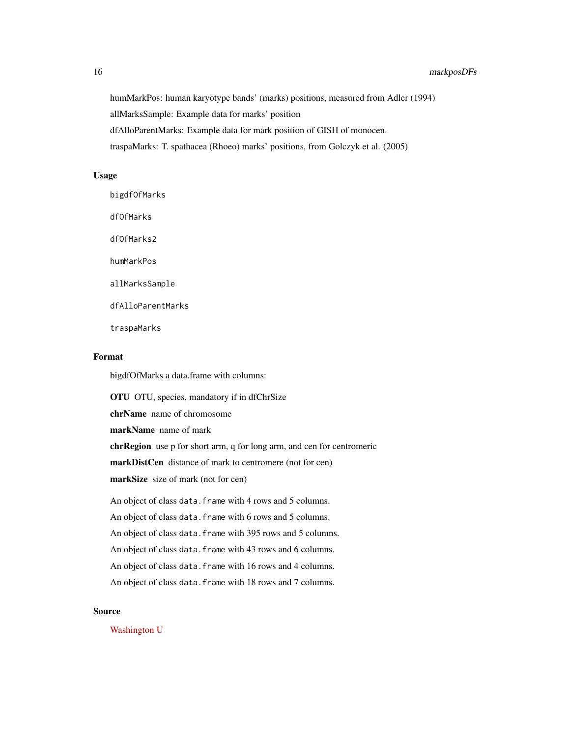humMarkPos: human karyotype bands' (marks) positions, measured from Adler (1994) allMarksSample: Example data for marks' position dfAlloParentMarks: Example data for mark position of GISH of monocen. traspaMarks: T. spathacea (Rhoeo) marks' positions, from Golczyk et al. (2005)

#### Usage

bigdfOfMarks dfOfMarks dfOfMarks2 humMarkPos allMarksSample dfAlloParentMarks traspaMarks

#### Format

bigdfOfMarks a data.frame with columns:

OTU OTU, species, mandatory if in dfChrSize chrName name of chromosome markName name of mark chrRegion use p for short arm, q for long arm, and cen for centromeric markDistCen distance of mark to centromere (not for cen) markSize size of mark (not for cen) An object of class data. frame with 4 rows and 5 columns. An object of class data. frame with 6 rows and 5 columns. An object of class data. frame with 395 rows and 5 columns. An object of class data. frame with 43 rows and 6 columns. An object of class data. frame with 16 rows and 4 columns. An object of class data. frame with 18 rows and 7 columns.

#### Source

[Washington U](http://www.pathology.washington.edu/research/cytopages/idiograms/human/)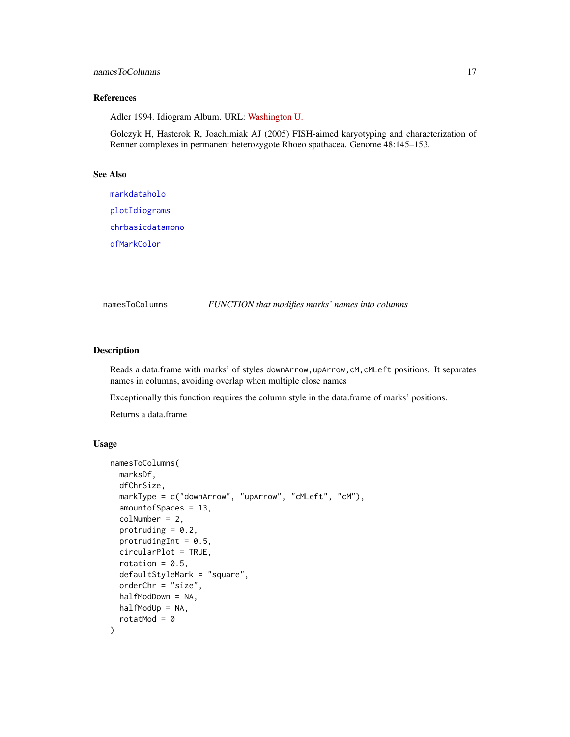#### <span id="page-16-0"></span>namesToColumns 17

#### References

Adler 1994. Idiogram Album. URL: [Washington U.](http://www.pathology.washington.edu/research/cytopages/idiograms/human/)

Golczyk H, Hasterok R, Joachimiak AJ (2005) FISH-aimed karyotyping and characterization of Renner complexes in permanent heterozygote Rhoeo spathacea. Genome 48:145–153.

#### See Also

[markdataholo](#page-13-1) [plotIdiograms](#page-18-1) [chrbasicdatamono](#page-5-1) [dfMarkColor](#page-9-1)

namesToColumns *FUNCTION that modifies marks' names into columns*

#### Description

Reads a data.frame with marks' of styles downArrow, upArrow, cM, cMLeft positions. It separates names in columns, avoiding overlap when multiple close names

Exceptionally this function requires the column style in the data.frame of marks' positions.

Returns a data.frame

```
namesToColumns(
 marksDf,
 dfChrSize,
 markType = c("downArrow", "upArrow", "cMLeft", "cM"),
  amountofSpaces = 13,
  colNumber = 2,
  protruding = 0.2,
 protrudingInt = 0.5,
  circularPlot = TRUE,
  rotation = 0.5,
  defaultStyleMark = "square",
  orderChr = "size",
 halfModDown = NA,
 halfModUp = NA,
  rotatMod = 0)
```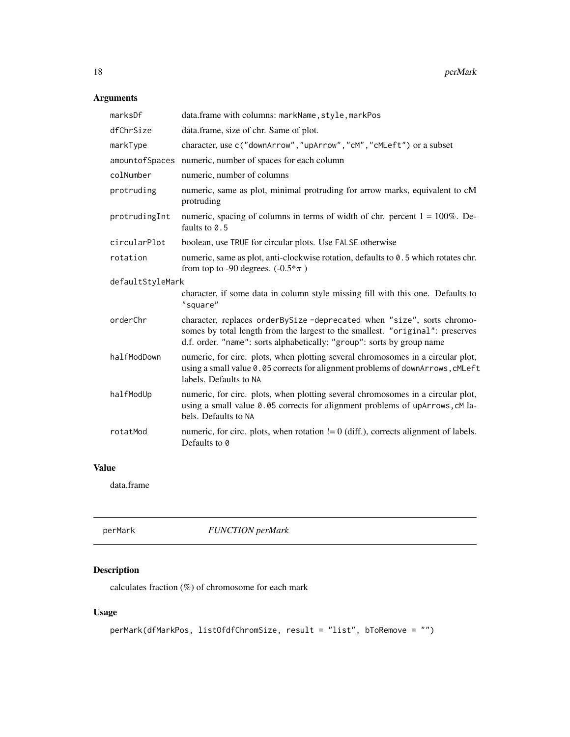# <span id="page-17-0"></span>Arguments

| marksDf          | data.frame with columns: markName, style, markPos                                                                                                                                                                                |  |
|------------------|----------------------------------------------------------------------------------------------------------------------------------------------------------------------------------------------------------------------------------|--|
| dfChrSize        | data.frame, size of chr. Same of plot.                                                                                                                                                                                           |  |
| markType         | character, use c("downArrow", "upArrow", "cM", "cMLeft") or a subset                                                                                                                                                             |  |
| amountofSpaces   | numeric, number of spaces for each column                                                                                                                                                                                        |  |
| colNumber        | numeric, number of columns                                                                                                                                                                                                       |  |
| protruding       | numeric, same as plot, minimal protruding for arrow marks, equivalent to cM<br>protruding                                                                                                                                        |  |
| protrudingInt    | numeric, spacing of columns in terms of width of chr. percent $1 = 100\%$ . De-<br>faults to 0.5                                                                                                                                 |  |
| circularPlot     | boolean, use TRUE for circular plots. Use FALSE otherwise                                                                                                                                                                        |  |
| rotation         | numeric, same as plot, anti-clockwise rotation, defaults to 0.5 which rotates chr.<br>from top to -90 degrees. $(-0.5^* \pi)$                                                                                                    |  |
| defaultStyleMark |                                                                                                                                                                                                                                  |  |
|                  | character, if some data in column style missing fill with this one. Defaults to<br>"square"                                                                                                                                      |  |
| orderChr         | character, replaces orderBySize-deprecated when "size", sorts chromo-<br>somes by total length from the largest to the smallest. "original": preserves<br>d.f. order. "name": sorts alphabetically; "group": sorts by group name |  |
| halfModDown      | numeric, for circ. plots, when plotting several chromosomes in a circular plot,<br>using a small value 0.05 corrects for alignment problems of downArrows, cMLeft<br>labels. Defaults to NA                                      |  |
| halfModUp        | numeric, for circ. plots, when plotting several chromosomes in a circular plot,<br>using a small value 0.05 corrects for alignment problems of upArrows, cM la-<br>bels. Defaults to NA                                          |  |
| rotatMod         | numeric, for circ. plots, when rotation $!= 0$ (diff.), corrects alignment of labels.<br>Defaults to 0                                                                                                                           |  |

# Value

data.frame

| perMark | <b>FUNCTION</b> perMark |
|---------|-------------------------|
|---------|-------------------------|

# Description

calculates fraction  $(\%)$  of chromosome for each mark

```
perMark(dfMarkPos, listOfdfChromSize, result = "list", bToRemove = "")
```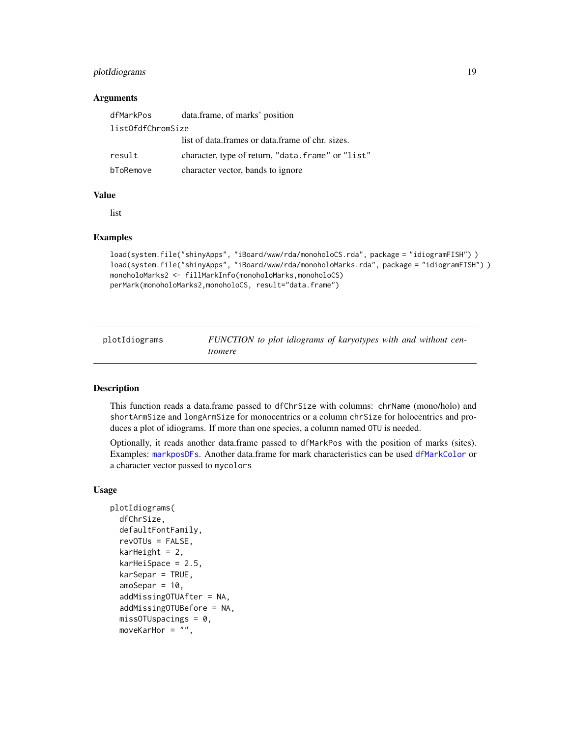#### <span id="page-18-0"></span>**Arguments**

| dfMarkPos         | data.frame, of marks' position                     |  |
|-------------------|----------------------------------------------------|--|
| listOfdfChromSize |                                                    |  |
|                   | list of data.frames or data.frame of chr. sizes.   |  |
| result            | character, type of return, "data. frame" or "list" |  |
| bToRemove         | character vector, bands to ignore                  |  |

#### Value

list

#### Examples

```
load(system.file("shinyApps", "iBoard/www/rda/monoholoCS.rda", package = "idiogramFISH") )
load(system.file("shinyApps", "iBoard/www/rda/monoholoMarks.rda", package = "idiogramFISH") )
monoholoMarks2 <- fillMarkInfo(monoholoMarks,monoholoCS)
perMark(monoholoMarks2,monoholoCS, result="data.frame")
```
<span id="page-18-1"></span>plotIdiograms *FUNCTION to plot idiograms of karyotypes with and without centromere*

#### Description

This function reads a data.frame passed to dfChrSize with columns: chrName (mono/holo) and shortArmSize and longArmSize for monocentrics or a column chrSize for holocentrics and produces a plot of idiograms. If more than one species, a column named OTU is needed.

Optionally, it reads another data.frame passed to dfMarkPos with the position of marks (sites). Examples: [markposDFs](#page-14-1). Another data.frame for mark characteristics can be used [dfMarkColor](#page-9-1) or a character vector passed to mycolors

```
plotIdiograms(
  dfChrSize,
  defaultFontFamily,
  revOTUs = FALSE,
  karHeight = 2,karHeiSpace = 2.5,
  karSepar = TRUE,
  amoSepar = 10,
  addMissingOTUAfter = NA,
  addMissingOTUBefore = NA,
  misOTUSpacings = 0,
  moveKarHor = ",
```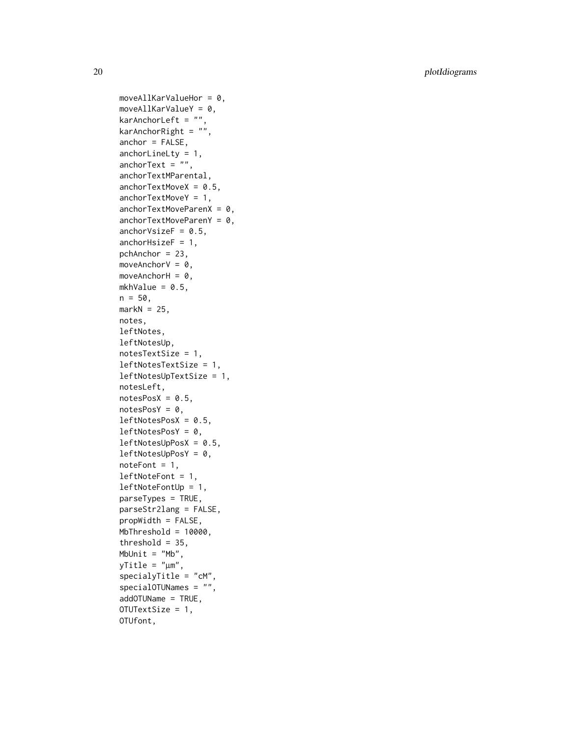moveAllKarValueHor =  $0$ ,  $moveAllKarValueY = 0$ , karAnchorLeft =  $"$ ,  $karAnotherRight = "",$  $anchor = FALSE,$ anchorLineLty = 1, anchorText =  $"$ , anchorTextMParental,  $anchorTextMoveX = 0.5$ , anchorTextMoveY = 1, anchorTextMoveParenX =  $0,$  $anchorTextMoveParent = 0,$ anchorVsize $F = 0.5$ , anchor $HsizeF = 1$ , pchAnchor = 23, moveAnchorV =  $0$ , moveAnchorH =  $0$ , mkhValue =  $0.5$ ,  $n = 50$ ,  $markN = 25$ , notes, leftNotes, leftNotesUp, notesTextSize = 1, leftNotesTextSize = 1, leftNotesUpTextSize = 1, notesLeft,  $notesPosX = 0.5,$  $notesPosY = 0,$  $leftNotesPosX = 0.5,$  $leftNotesPosY = 0,$  $leftNotesUpPosX = 0.5$ ,  $leftNotesUpPosY = 0$ ,  $noteFont = 1,$ leftNoteFont = 1, leftNoteFontUp = 1, parseTypes = TRUE, parseStr2lang = FALSE, propWidth = FALSE, MbThreshold = 10000, threshold =  $35$ , MbUnit =  $"Mb",$ yTitle = " µm", specialyTitle = "cM", specialOTUNames = "", addOTUName = TRUE, OTUTextSize = 1, OTUfont,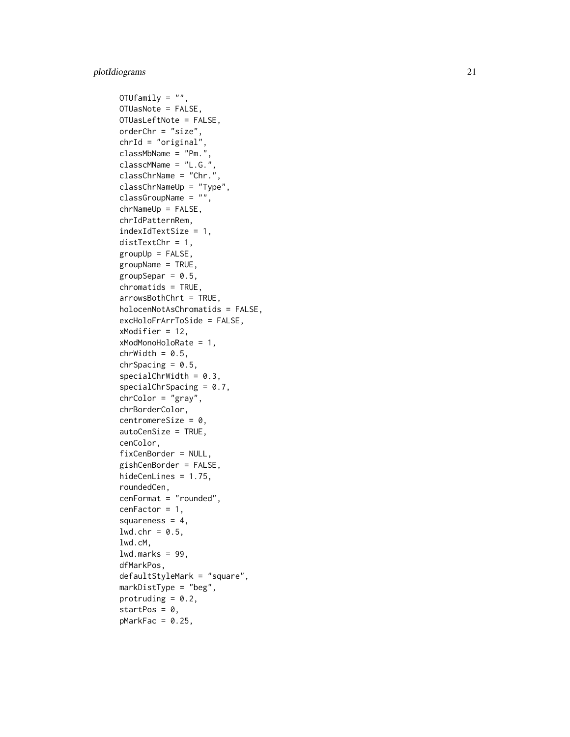```
OTUfamily = "",
OTUasNote = FALSE,
OTUasLeftNote = FALSE,
orderChr = "size",
chrId = "original",
classMbName = "Pm.",
classcMName = "L.G.",
classChrName = "Chr."
classChrNameUp = "Type",
classGroupName = "",
chrNameUp = FALSE,
chrIdPatternRem,
indexIdTextSize = 1,
distTextChr = 1,groupUp = FALSE,groupName = TRUE,
groupSepar = 0.5,
chromatids = TRUE,
arrowsBothChrt = TRUE,
holocenNotAsChromatids = FALSE,
excHoloFrArrToSide = FALSE,
xModifier = 12,
xModMonoHoloRate = 1,
chrWidth = 0.5,chrSpacing = 0.5,
specialChrWidth = 0.3,specialChrSpacing = 0.7,
chrColor = "gray",
chrBorderColor,
centromereSize = 0,
autoCenSize = TRUE,
cenColor,
fixCenBorder = NULL,
gishCenBorder = FALSE,
hideCenLines = 1.75,
roundedCen,
cenFormat = "rounded",
cenFactor = 1,squareness = 4,
1wd.chr = 0.5,
lwd.cM,
lwd.maxks = 99,dfMarkPos,
defaultStyleMark = "square",
markDistType = "beg",
protruding = 0.2,
startPos = 0,
pMarkFac = 0.25,
```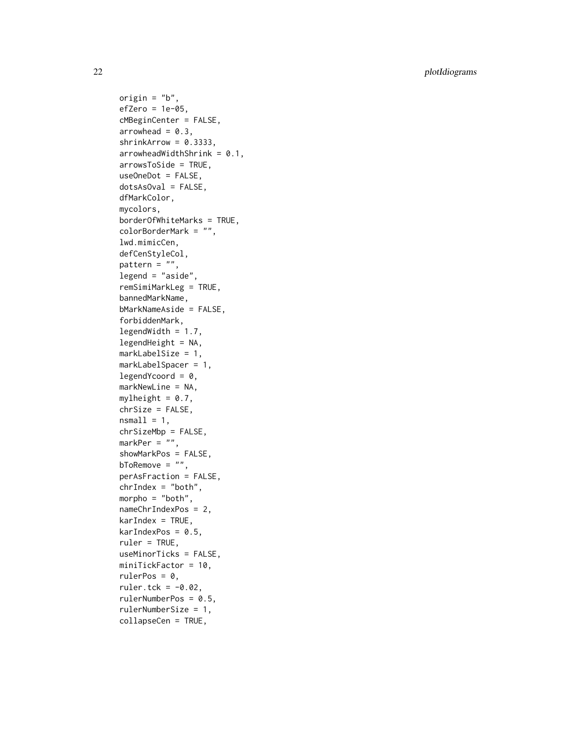origin =  $"b"$ ,  $efZero = 1e-05$ , cMBeginCenter = FALSE,  $arrowhead = 0.3$ ,  $shrinkArrow = 0.3333,$  $arrowheadWidthShrink = 0.1,$ arrowsToSide = TRUE, useOneDot = FALSE, dotsAsOval = FALSE, dfMarkColor, mycolors, borderOfWhiteMarks = TRUE, colorBorderMark = "", lwd.mimicCen, defCenStyleCol, pattern = "", legend = "aside", remSimiMarkLeg = TRUE, bannedMarkName, bMarkNameAside = FALSE, forbiddenMark,  $legendWidth = 1.7,$  $legendHeight = NA,$ markLabelSize = 1, markLabelSpacer = 1,  $legendYcoord = 0,$ markNewLine = NA, mylheight =  $0.7$ , chrSize = FALSE,  $nsmall = 1$ , chrSizeMbp = FALSE, markPer = "", showMarkPos = FALSE, bToRemove =  $"$ , perAsFraction = FALSE,  $chrIndex = "both",$ morpho =  $"both"$ , nameChrIndexPos = 2,  $karIndex = TRUE,$  $karIndexPos = 0.5$ , ruler = TRUE, useMinorTicks = FALSE, miniTickFactor = 10, rulerPos =  $0$ , ruler.tck =  $-0.02$ , rulerNumberPos = 0.5, rulerNumberSize = 1, collapseCen = TRUE,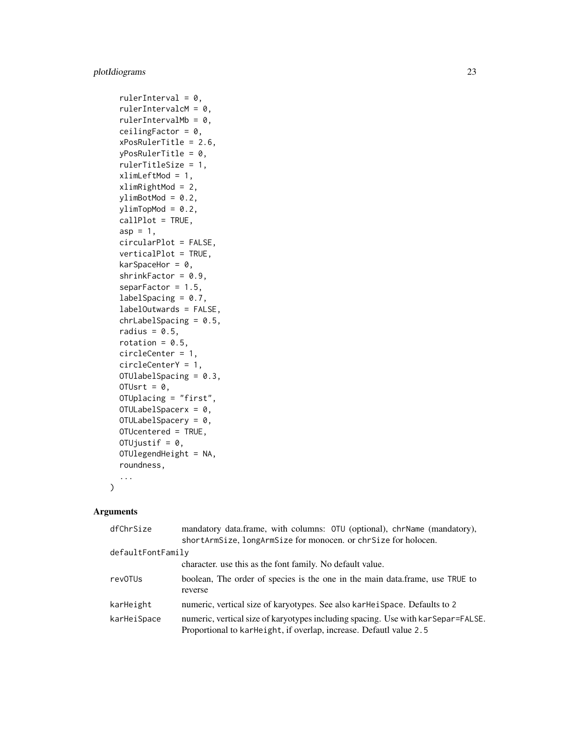```
rulerInterval = 0,
rulerIntervalcM = 0,rulerIntervalMb = 0,
ceilingFactor = 0,
xPosRulerTitle = 2.6,
yPosRulerTitle = 0,
rulerTitleSize = 1,
xlimLeftMod = 1,
xlimRightMod = 2,
ylimBotMod = 0.2,
ylimTopMod = 0.2,
callPlot = TRUE,
asp = 1,circularPlot = FALSE,
verticalPlot = TRUE,
karSpaceHor = 0,
shrinkFactor = 0.9,
separFactor = 1.5,
labelSpacing = 0.7,
labelOutwards = FALSE,
chrLabelSpacing = 0.5,
radius = 0.5,
rotation = 0.5,
circleCenter = 1,
circleCenterY = 1,
OTUlabelSpacing = 0.3,
OTUsrt = 0,
OTUplacing = "first",
OTULabelSpacerx = 0,
OTULabelSpacery = 0,
OTUcentered = TRUE,
OTUjustif = 0,
OTUlegendHeight = NA,
roundness,
...
```
#### Arguments

 $\mathcal{L}$ 

| dfChrSize         | mandatory data.frame, with columns: OTU (optional), chrName (mandatory),                                                                                |  |
|-------------------|---------------------------------------------------------------------------------------------------------------------------------------------------------|--|
|                   | shortArmSize, longArmSize for monocen. or chrSize for holocen.                                                                                          |  |
| defaultFontFamily |                                                                                                                                                         |  |
|                   | character, use this as the font family. No default value.                                                                                               |  |
| revOTUs           | boolean. The order of species is the one in the main data frame, use TRUE to<br>reverse                                                                 |  |
| karHeight         | numeric, vertical size of karyotypes. See also kar-Hei Space. Defaults to 2                                                                             |  |
| karHeiSpace       | numeric, vertical size of karyotypes including spacing. Use with kar Separ=FALSE.<br>Proportional to karHeight, if overlap, increase. Defautl value 2.5 |  |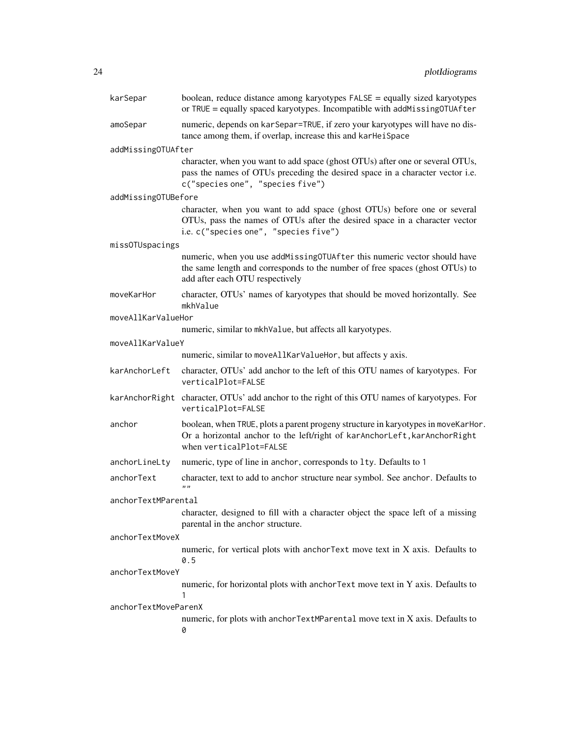| karSepar             | boolean, reduce distance among karyotypes FALSE = equally sized karyotypes<br>or TRUE = equally spaced karyotypes. Incompatible with addMissingOTUAfter                                            |  |
|----------------------|----------------------------------------------------------------------------------------------------------------------------------------------------------------------------------------------------|--|
| amoSepar             | numeric, depends on kar Separ=TRUE, if zero your karyotypes will have no dis-<br>tance among them, if overlap, increase this and karHeiSpace                                                       |  |
| addMissingOTUAfter   |                                                                                                                                                                                                    |  |
|                      | character, when you want to add space (ghost OTUs) after one or several OTUs,<br>pass the names of OTUs preceding the desired space in a character vector i.e.<br>c("species one", "species five") |  |
| addMissingOTUBefore  |                                                                                                                                                                                                    |  |
|                      | character, when you want to add space (ghost OTUs) before one or several<br>OTUs, pass the names of OTUs after the desired space in a character vector<br>i.e. c("species one", "species five")    |  |
| missOTUspacings      |                                                                                                                                                                                                    |  |
|                      | numeric, when you use addMissingOTUAfter this numeric vector should have<br>the same length and corresponds to the number of free spaces (ghost OTUs) to<br>add after each OTU respectively        |  |
| moveKarHor           | character, OTUs' names of karyotypes that should be moved horizontally. See<br>mkhValue                                                                                                            |  |
| moveAllKarValueHor   |                                                                                                                                                                                                    |  |
|                      | numeric, similar to mkhValue, but affects all karyotypes.                                                                                                                                          |  |
| moveAllKarValueY     |                                                                                                                                                                                                    |  |
|                      | numeric, similar to moveAllKarValueHor, but affects y axis.                                                                                                                                        |  |
| karAnchorLeft        | character, OTUs' add anchor to the left of this OTU names of karyotypes. For<br>verticalPlot=FALSE                                                                                                 |  |
|                      | karAnchorRight character, OTUs' add anchor to the right of this OTU names of karyotypes. For<br>verticalPlot=FALSE                                                                                 |  |
| anchor               | boolean, when TRUE, plots a parent progeny structure in karyotypes in moveKarHor.<br>Or a horizontal anchor to the left/right of karAnchorLeft, karAnchorRight<br>when verticalPlot=FALSE          |  |
| anchorLineLty        | numeric, type of line in anchor, corresponds to 1ty. Defaults to 1                                                                                                                                 |  |
| anchorText           | character, text to add to anchor structure near symbol. See anchor. Defaults to<br>1111                                                                                                            |  |
| anchorTextMParental  |                                                                                                                                                                                                    |  |
|                      | character, designed to fill with a character object the space left of a missing<br>parental in the anchor structure.                                                                               |  |
| anchorTextMoveX      |                                                                                                                                                                                                    |  |
|                      | numeric, for vertical plots with anchorText move text in X axis. Defaults to<br>0.5                                                                                                                |  |
| anchorTextMoveY      |                                                                                                                                                                                                    |  |
|                      | numeric, for horizontal plots with anchorText move text in Y axis. Defaults to<br>1                                                                                                                |  |
| anchorTextMoveParenX |                                                                                                                                                                                                    |  |
|                      | numeric, for plots with anchorTextMParental move text in X axis. Defaults to<br>0                                                                                                                  |  |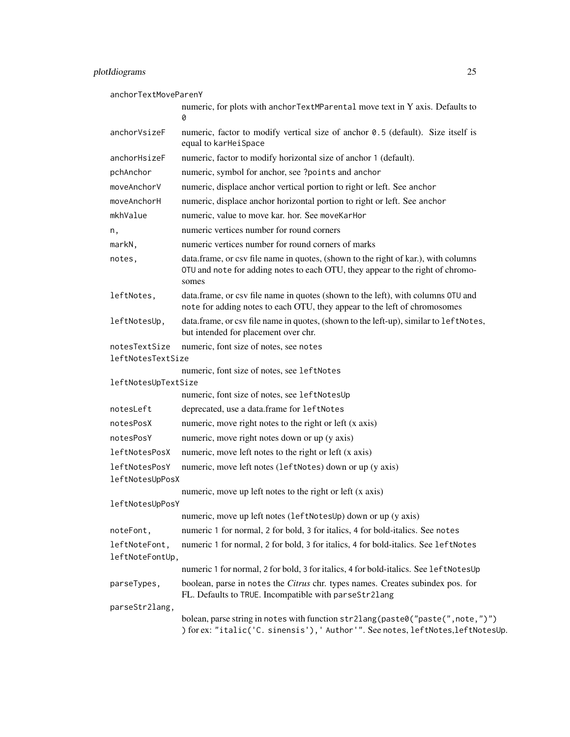anchorTextMoveParenY

|                                    | numeric, for plots with anchorTextMParental move text in Y axis. Defaults to<br>0                                                                                             |
|------------------------------------|-------------------------------------------------------------------------------------------------------------------------------------------------------------------------------|
| anchorVsizeF                       | numeric, factor to modify vertical size of anchor 0.5 (default). Size itself is<br>equal to karHeiSpace                                                                       |
| anchorHsizeF                       | numeric, factor to modify horizontal size of anchor 1 (default).                                                                                                              |
| pchAnchor                          | numeric, symbol for anchor, see ?points and anchor                                                                                                                            |
| moveAnchorV                        | numeric, displace anchor vertical portion to right or left. See anchor                                                                                                        |
| moveAnchorH                        | numeric, displace anchor horizontal portion to right or left. See anchor                                                                                                      |
| mkhValue                           | numeric, value to move kar. hor. See moveKarHor                                                                                                                               |
| n,                                 | numeric vertices number for round corners                                                                                                                                     |
| markN,                             | numeric vertices number for round corners of marks                                                                                                                            |
| notes,                             | data.frame, or csv file name in quotes, (shown to the right of kar.), with columns<br>OTU and note for adding notes to each OTU, they appear to the right of chromo-<br>somes |
| leftNotes,                         | data.frame, or csv file name in quotes (shown to the left), with columns OTU and<br>note for adding notes to each OTU, they appear to the left of chromosomes                 |
| leftNotesUp,                       | data.frame, or csv file name in quotes, (shown to the left-up), similar to leftNotes,<br>but intended for placement over chr.                                                 |
| notesTextSize<br>leftNotesTextSize | numeric, font size of notes, see notes                                                                                                                                        |
|                                    | numeric, font size of notes, see leftNotes                                                                                                                                    |
| leftNotesUpTextSize                | numeric, font size of notes, see leftNotesUp                                                                                                                                  |
| notesLeft                          | deprecated, use a data.frame for leftNotes                                                                                                                                    |
| notesPosX                          | numeric, move right notes to the right or left (x axis)                                                                                                                       |
| notesPosY                          | numeric, move right notes down or up (y axis)                                                                                                                                 |
| leftNotesPosX                      | numeric, move left notes to the right or left (x axis)                                                                                                                        |
| leftNotesPosY                      | numeric, move left notes (leftNotes) down or up (y axis)                                                                                                                      |
| leftNotesUpPosX                    |                                                                                                                                                                               |
|                                    | numeric, move up left notes to the right or left (x axis)                                                                                                                     |
| leftNotesUpPosY                    |                                                                                                                                                                               |
|                                    | numeric, move up left notes (leftNotesUp) down or up (y axis)                                                                                                                 |
| noteFont,                          | numeric 1 for normal, 2 for bold, 3 for italics, 4 for bold-italics. See notes                                                                                                |
| leftNoteFont,<br>leftNoteFontUp,   | numeric 1 for normal, 2 for bold, 3 for italics, 4 for bold-italics. See leftNotes                                                                                            |
|                                    | numeric 1 for normal, 2 for bold, 3 for italics, 4 for bold-italics. See leftNotesUp                                                                                          |
| parseTypes,                        | boolean, parse in notes the Citrus chr. types names. Creates subindex pos. for<br>FL. Defaults to TRUE. Incompatible with parseStr21ang                                       |
| parseStr2lang,                     |                                                                                                                                                                               |
|                                    | bolean, parse string in notes with function str2lang(paste0("paste(", note,")")<br>) for ex: "italic('C. sinensis'), 'Author'". See notes, leftNotes, leftNotesUp.            |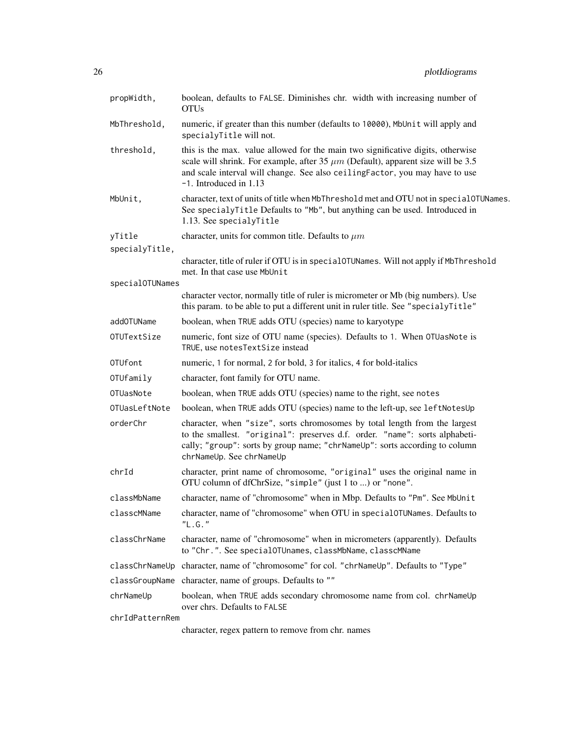| propWidth,      | boolean, defaults to FALSE. Diminishes chr. width with increasing number of<br><b>OTUs</b>                                                                                                                                                                                        |  |
|-----------------|-----------------------------------------------------------------------------------------------------------------------------------------------------------------------------------------------------------------------------------------------------------------------------------|--|
| MbThreshold,    | numeric, if greater than this number (defaults to 10000), MbUnit will apply and<br>specialyTitle will not.                                                                                                                                                                        |  |
| threshold,      | this is the max. value allowed for the main two significative digits, otherwise<br>scale will shrink. For example, after 35 $\mu$ m (Default), apparent size will be 3.5<br>and scale interval will change. See also ceilingFactor, you may have to use<br>-1. Introduced in 1.13 |  |
| MbUnit,         | character, text of units of title when MbThreshold met and OTU not in special0TUNames.<br>See specialyTitle Defaults to "Mb", but anything can be used. Introduced in<br>1.13. See specialyTitle                                                                                  |  |
| yTitle          | character, units for common title. Defaults to $\mu m$                                                                                                                                                                                                                            |  |
| specialyTitle,  |                                                                                                                                                                                                                                                                                   |  |
|                 | character, title of ruler if OTU is in special OTUNames. Will not apply if MbThreshold<br>met. In that case use MbUnit                                                                                                                                                            |  |
| specialOTUNames | character vector, normally title of ruler is micrometer or Mb (big numbers). Use                                                                                                                                                                                                  |  |
|                 | this param. to be able to put a different unit in ruler title. See "specialyTitle"                                                                                                                                                                                                |  |
| addOTUName      | boolean, when TRUE adds OTU (species) name to karyotype                                                                                                                                                                                                                           |  |
| OTUTextSize     | numeric, font size of OTU name (species). Defaults to 1. When OTUasNote is<br>TRUE, use notesTextSize instead                                                                                                                                                                     |  |
| OTUfont         | numeric, 1 for normal, 2 for bold, 3 for italics, 4 for bold-italics                                                                                                                                                                                                              |  |
| OTUfamily       | character, font family for OTU name.                                                                                                                                                                                                                                              |  |
| OTUasNote       | boolean, when TRUE adds OTU (species) name to the right, see notes                                                                                                                                                                                                                |  |
| OTUasLeftNote   | boolean, when TRUE adds OTU (species) name to the left-up, see leftNotesUp                                                                                                                                                                                                        |  |
| orderChr        | character, when "size", sorts chromosomes by total length from the largest<br>to the smallest. "original": preserves d.f. order. "name": sorts alphabeti-<br>cally; "group": sorts by group name; "chrNameUp": sorts according to column<br>chrNameUp. See chrNameUp              |  |
| chrId           | character, print name of chromosome, "original" uses the original name in<br>OTU column of dfChrSize, "simple" (just 1 to ) or "none".                                                                                                                                            |  |
| classMbName     | character, name of "chromosome" when in Mbp. Defaults to "Pm". See MbUnit                                                                                                                                                                                                         |  |
| classcMName     | character, name of "chromosome" when OTU in special0TUNames. Defaults to<br>"L.G."                                                                                                                                                                                                |  |
| classChrName    | character, name of "chromosome" when in micrometers (apparently). Defaults<br>to "Chr.". See specialOTUnames, classMbName, classcMName                                                                                                                                            |  |
|                 | classChrNameUp character, name of "chromosome" for col. "chrNameUp". Defaults to "Type"                                                                                                                                                                                           |  |
|                 | classGroupName character, name of groups. Defaults to ""                                                                                                                                                                                                                          |  |
| chrNameUp       | boolean, when TRUE adds secondary chromosome name from col. chrNameUp<br>over chrs. Defaults to FALSE                                                                                                                                                                             |  |
| chrIdPatternRem | character, regex pattern to remove from chr. names                                                                                                                                                                                                                                |  |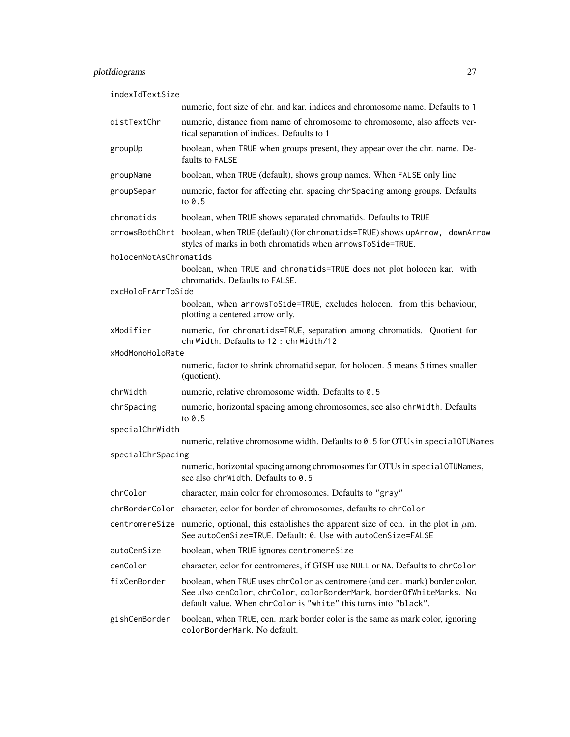indexIdTextSize

|                        | numeric, font size of chr. and kar. indices and chromosome name. Defaults to 1                                                                                                                                           |  |
|------------------------|--------------------------------------------------------------------------------------------------------------------------------------------------------------------------------------------------------------------------|--|
| distTextChr            | numeric, distance from name of chromosome to chromosome, also affects ver-<br>tical separation of indices. Defaults to 1                                                                                                 |  |
| groupUp                | boolean, when TRUE when groups present, they appear over the chr. name. De-<br>faults to FALSE                                                                                                                           |  |
| groupName              | boolean, when TRUE (default), shows group names. When FALSE only line                                                                                                                                                    |  |
| groupSepar             | numeric, factor for affecting chr. spacing chr Spacing among groups. Defaults<br>to $0.5$                                                                                                                                |  |
| chromatids             | boolean, when TRUE shows separated chromatids. Defaults to TRUE                                                                                                                                                          |  |
|                        | arrowsBothChrt boolean, when TRUE (default) (for chromatids=TRUE) shows upArrow, downArrow<br>styles of marks in both chromatids when arrowsToSide=TRUE.                                                                 |  |
| holocenNotAsChromatids |                                                                                                                                                                                                                          |  |
|                        | boolean, when TRUE and chromatids=TRUE does not plot holocen kar. with<br>chromatids. Defaults to FALSE.                                                                                                                 |  |
| excHoloFrArrToSide     | boolean, when arrowsToSide=TRUE, excludes holocen. from this behaviour,<br>plotting a centered arrow only.                                                                                                               |  |
| xModifier              | numeric, for chromatids=TRUE, separation among chromatids. Quotient for<br>chrWidth. Defaults to 12 : chrWidth/12                                                                                                        |  |
| xModMonoHoloRate       |                                                                                                                                                                                                                          |  |
|                        | numeric, factor to shrink chromatid separ. for holocen. 5 means 5 times smaller<br>(quotient).                                                                                                                           |  |
| chrWidth               | numeric, relative chromosome width. Defaults to 0.5                                                                                                                                                                      |  |
| chrSpacing             | numeric, horizontal spacing among chromosomes, see also chrWidth. Defaults<br>to $0.5$                                                                                                                                   |  |
| specialChrWidth        |                                                                                                                                                                                                                          |  |
|                        | numeric, relative chromosome width. Defaults to 0.5 for OTUs in special0TUNames                                                                                                                                          |  |
| specialChrSpacing      | numeric, horizontal spacing among chromosomes for OTUs in special0TUNames,<br>see also chrWidth. Defaults to 0.5                                                                                                         |  |
| chrColor               | character, main color for chromosomes. Defaults to "gray"                                                                                                                                                                |  |
|                        | chrBorderColor character, color for border of chromosomes, defaults to chrColor                                                                                                                                          |  |
|                        | centromerestize numeric, optional, this establishes the apparent size of cen. in the plot in $\mu$ m.<br>See autoCenSize=TRUE. Default: 0. Use with autoCenSize=FALSE                                                    |  |
| autoCenSize            | boolean, when TRUE ignores centromereSize                                                                                                                                                                                |  |
| cenColor               | character, color for centromeres, if GISH use NULL or NA. Defaults to chrColor                                                                                                                                           |  |
| fixCenBorder           | boolean, when TRUE uses chrColor as centromere (and cen. mark) border color.<br>See also cenColor, chrColor, colorBorderMark, borderOfWhiteMarks. No<br>default value. When chrColor is "white" this turns into "black". |  |
| gishCenBorder          | boolean, when TRUE, cen. mark border color is the same as mark color, ignoring<br>colorBorderMark. No default.                                                                                                           |  |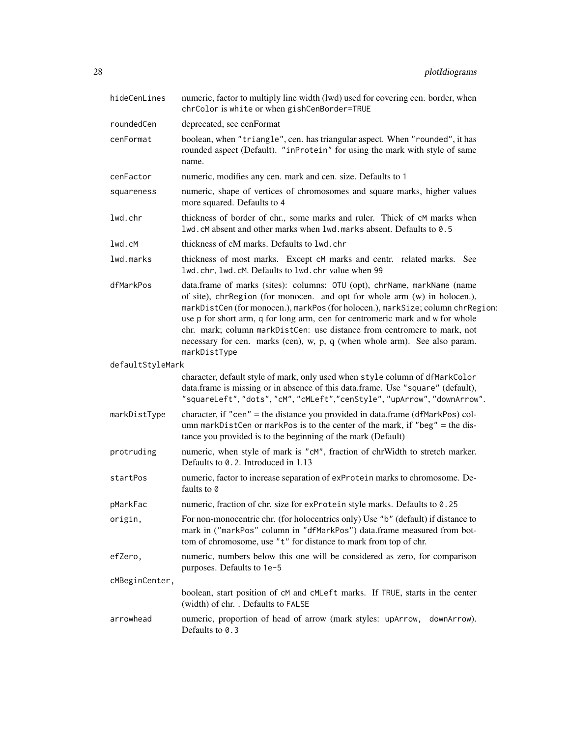| hideCenLines     | numeric, factor to multiply line width (lwd) used for covering cen. border, when<br>chrColor is white or when gishCenBorder=TRUE                                                                                                                                                                                                                                                                                                                                                                   |  |
|------------------|----------------------------------------------------------------------------------------------------------------------------------------------------------------------------------------------------------------------------------------------------------------------------------------------------------------------------------------------------------------------------------------------------------------------------------------------------------------------------------------------------|--|
| roundedCen       | deprecated, see cenFormat                                                                                                                                                                                                                                                                                                                                                                                                                                                                          |  |
| cenFormat        | boolean, when "triangle", cen. has triangular aspect. When "rounded", it has<br>rounded aspect (Default). "inProtein" for using the mark with style of same<br>name.                                                                                                                                                                                                                                                                                                                               |  |
| cenFactor        | numeric, modifies any cen. mark and cen. size. Defaults to 1                                                                                                                                                                                                                                                                                                                                                                                                                                       |  |
| squareness       | numeric, shape of vertices of chromosomes and square marks, higher values<br>more squared. Defaults to 4                                                                                                                                                                                                                                                                                                                                                                                           |  |
| lwd.chr          | thickness of border of chr., some marks and ruler. Thick of cM marks when<br>lwd.cM absent and other marks when lwd.marks absent. Defaults to 0.5                                                                                                                                                                                                                                                                                                                                                  |  |
| 1wd.cM           | thickness of cM marks. Defaults to 1wd.chr                                                                                                                                                                                                                                                                                                                                                                                                                                                         |  |
| lwd.marks        | thickness of most marks. Except cM marks and centr. related marks. See<br>lwd.chr, lwd.cM. Defaults to lwd.chr value when 99                                                                                                                                                                                                                                                                                                                                                                       |  |
| dfMarkPos        | data.frame of marks (sites): columns: OTU (opt), chrName, markName (name<br>of site), chrRegion (for monocen. and opt for whole arm (w) in holocen.),<br>markDistCen (for monocen.), markPos (for holocen.), markSize; column chrRegion:<br>use p for short arm, q for long arm, cen for centromeric mark and w for whole<br>chr. mark; column markDistCen: use distance from centromere to mark, not<br>necessary for cen. marks (cen), w, p, q (when whole arm). See also param.<br>markDistType |  |
| defaultStyleMark |                                                                                                                                                                                                                                                                                                                                                                                                                                                                                                    |  |
|                  | character, default style of mark, only used when style column of dfMarkColor<br>data.frame is missing or in absence of this data.frame. Use "square" (default),<br>"squareLeft", "dots", "cM", "cMLeft", "cenStyle", "upArrow", "downArrow".                                                                                                                                                                                                                                                       |  |
| markDistType     | character, if "cen" = the distance you provided in data.frame (dfMarkPos) col-<br>umn markDistCen or markPos is to the center of the mark, if "beg" = the dis-<br>tance you provided is to the beginning of the mark (Default)                                                                                                                                                                                                                                                                     |  |
| protruding       | numeric, when style of mark is "cM", fraction of chrWidth to stretch marker.<br>Defaults to 0.2. Introduced in 1.13                                                                                                                                                                                                                                                                                                                                                                                |  |
| startPos         | numeric, factor to increase separation of exProtein marks to chromosome. De-<br>faults to 0                                                                                                                                                                                                                                                                                                                                                                                                        |  |
| pMarkFac         | numeric, fraction of chr. size for exProtein style marks. Defaults to 0.25                                                                                                                                                                                                                                                                                                                                                                                                                         |  |
| origin,          | For non-monocentric chr. (for holocentrics only) Use "b" (default) if distance to<br>mark in ("markPos" column in "dfMarkPos") data.frame measured from bot-<br>tom of chromosome, use "t" for distance to mark from top of chr.                                                                                                                                                                                                                                                                   |  |
| efZero,          | numeric, numbers below this one will be considered as zero, for comparison<br>purposes. Defaults to 1e-5                                                                                                                                                                                                                                                                                                                                                                                           |  |
| cMBeginCenter,   |                                                                                                                                                                                                                                                                                                                                                                                                                                                                                                    |  |
|                  | boolean, start position of cM and cMLeft marks. If TRUE, starts in the center<br>(width) of chr. . Defaults to FALSE                                                                                                                                                                                                                                                                                                                                                                               |  |
| arrowhead        | numeric, proportion of head of arrow (mark styles: upArrow,<br>downArrow).<br>Defaults to 0.3                                                                                                                                                                                                                                                                                                                                                                                                      |  |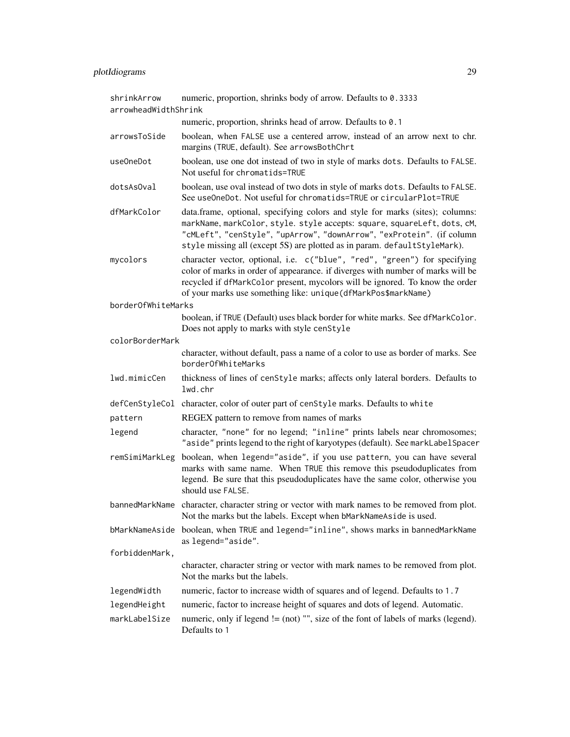| shrinkArrow          | numeric, proportion, shrinks body of arrow. Defaults to 0.3333                                                                                                                                                                                                                                                  |  |
|----------------------|-----------------------------------------------------------------------------------------------------------------------------------------------------------------------------------------------------------------------------------------------------------------------------------------------------------------|--|
| arrowheadWidthShrink |                                                                                                                                                                                                                                                                                                                 |  |
|                      | numeric, proportion, shrinks head of arrow. Defaults to 0.1                                                                                                                                                                                                                                                     |  |
| arrowsToSide         | boolean, when FALSE use a centered arrow, instead of an arrow next to chr.<br>margins (TRUE, default). See arrowsBothChrt                                                                                                                                                                                       |  |
| useOneDot            | boolean, use one dot instead of two in style of marks dots. Defaults to FALSE.<br>Not useful for chromatids=TRUE                                                                                                                                                                                                |  |
| dotsAs0val           | boolean, use oval instead of two dots in style of marks dots. Defaults to FALSE.<br>See useOneDot. Not useful for chromatids=TRUE or circularPlot=TRUE                                                                                                                                                          |  |
| dfMarkColor          | data.frame, optional, specifying colors and style for marks (sites); columns:<br>markName, markColor, style. style accepts: square, squareLeft, dots, cM,<br>"CMLeft", "cenStyle", "upArrow", "downArrow", "exProtein". (if column<br>style missing all (except 5S) are plotted as in param. defaultStyleMark). |  |
| mycolors             | character vector, optional, i.e. c("blue", "red", "green") for specifying<br>color of marks in order of appearance. if diverges with number of marks will be<br>recycled if dfMarkColor present, mycolors will be ignored. To know the order<br>of your marks use something like: unique(dfMarkPos\$markName)   |  |
| borderOfWhiteMarks   |                                                                                                                                                                                                                                                                                                                 |  |
|                      | boolean, if TRUE (Default) uses black border for white marks. See dfMarkColor.<br>Does not apply to marks with style cenStyle                                                                                                                                                                                   |  |
| colorBorderMark      |                                                                                                                                                                                                                                                                                                                 |  |
|                      | character, without default, pass a name of a color to use as border of marks. See<br>borderOfWhiteMarks                                                                                                                                                                                                         |  |
| lwd.mimicCen         | thickness of lines of cenStyle marks; affects only lateral borders. Defaults to<br>lwd.chr                                                                                                                                                                                                                      |  |
|                      | defCenStyleCol character, color of outer part of cenStyle marks. Defaults to white                                                                                                                                                                                                                              |  |
| pattern              | REGEX pattern to remove from names of marks                                                                                                                                                                                                                                                                     |  |
| legend               | character, "none" for no legend; "inline" prints labels near chromosomes;<br>"aside" prints legend to the right of karyotypes (default). See markLabelSpacer                                                                                                                                                    |  |
| remSimiMarkLeg       | boolean, when legend="aside", if you use pattern, you can have several<br>marks with same name. When TRUE this remove this pseudoduplicates from<br>legend. Be sure that this pseudoduplicates have the same color, otherwise you<br>should use FALSE.                                                          |  |
|                      | bannedMarkName character, character string or vector with mark names to be removed from plot.<br>Not the marks but the labels. Except when bMarkNameAside is used.                                                                                                                                              |  |
| bMarkNameAside       | boolean, when TRUE and legend="inline", shows marks in bannedMarkName<br>as legend="aside".                                                                                                                                                                                                                     |  |
| forbiddenMark,       |                                                                                                                                                                                                                                                                                                                 |  |
|                      | character, character string or vector with mark names to be removed from plot.<br>Not the marks but the labels.                                                                                                                                                                                                 |  |
| legendWidth          | numeric, factor to increase width of squares and of legend. Defaults to 1.7                                                                                                                                                                                                                                     |  |
| legendHeight         | numeric, factor to increase height of squares and dots of legend. Automatic.                                                                                                                                                                                                                                    |  |
| markLabelSize        | numeric, only if legend $! = (not)$ "", size of the font of labels of marks (legend).<br>Defaults to 1                                                                                                                                                                                                          |  |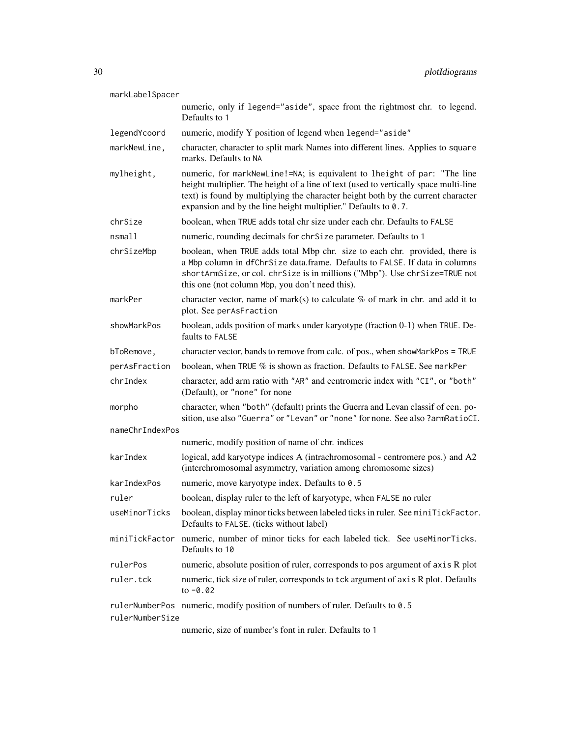markLabelSpacer

| illdi KLabelspacer |                                                                                                                                                                                                                                                                                                                        |
|--------------------|------------------------------------------------------------------------------------------------------------------------------------------------------------------------------------------------------------------------------------------------------------------------------------------------------------------------|
|                    | numeric, only if legend="aside", space from the rightmost chr. to legend.<br>Defaults to 1                                                                                                                                                                                                                             |
| legendYcoord       | numeric, modify Y position of legend when legend="aside"                                                                                                                                                                                                                                                               |
| markNewLine,       | character, character to split mark Names into different lines. Applies to square<br>marks. Defaults to NA                                                                                                                                                                                                              |
| mylheight,         | numeric, for markNewLine!=NA; is equivalent to lheight of par: "The line<br>height multiplier. The height of a line of text (used to vertically space multi-line<br>text) is found by multiplying the character height both by the current character<br>expansion and by the line height multiplier." Defaults to 0.7. |
| chrSize            | boolean, when TRUE adds total chr size under each chr. Defaults to FALSE                                                                                                                                                                                                                                               |
| nsmall             | numeric, rounding decimals for chrSize parameter. Defaults to 1                                                                                                                                                                                                                                                        |
| chrSizeMbp         | boolean, when TRUE adds total Mbp chr. size to each chr. provided, there is<br>a Mbp column in dfChrSize data.frame. Defaults to FALSE. If data in columns<br>shortArmSize, or col. chrSize is in millions ("Mbp"). Use chrSize=TRUE not<br>this one (not column Mbp, you don't need this).                            |
| markPer            | character vector, name of mark(s) to calculate $%$ of mark in chr. and add it to<br>plot. See perAsFraction                                                                                                                                                                                                            |
| showMarkPos        | boolean, adds position of marks under karyotype (fraction 0-1) when TRUE. De-<br>faults to FALSE                                                                                                                                                                                                                       |
| bToRemove,         | character vector, bands to remove from calc. of pos., when showMarkPos = TRUE                                                                                                                                                                                                                                          |
| perAsFraction      | boolean, when TRUE % is shown as fraction. Defaults to FALSE. See markPer                                                                                                                                                                                                                                              |
| chrIndex           | character, add arm ratio with "AR" and centromeric index with "CI", or "both"<br>(Default), or "none" for none                                                                                                                                                                                                         |
| morpho             | character, when "both" (default) prints the Guerra and Levan classif of cen. po-<br>sition, use also "Guerra" or "Levan" or "none" for none. See also ?armRatioCI.                                                                                                                                                     |
| nameChrIndexPos    |                                                                                                                                                                                                                                                                                                                        |
|                    | numeric, modify position of name of chr. indices                                                                                                                                                                                                                                                                       |
| karIndex           | logical, add karyotype indices A (intrachromosomal - centromere pos.) and A2<br>(interchromosomal asymmetry, variation among chromosome sizes)                                                                                                                                                                         |
| karIndexPos        | numeric, move karyotype index. Defaults to 0.5                                                                                                                                                                                                                                                                         |
| ruler              | boolean, display ruler to the left of karyotype, when FALSE no ruler                                                                                                                                                                                                                                                   |
|                    | useMinorTicks boolean, display minor ticks between labeled ticks in ruler. See miniTickFactor.<br>Defaults to FALSE. (ticks without label)                                                                                                                                                                             |
| miniTickFactor     | numeric, number of minor ticks for each labeled tick. See useMinorTicks.<br>Defaults to 10                                                                                                                                                                                                                             |
| rulerPos           | numeric, absolute position of ruler, corresponds to pos argument of axis R plot                                                                                                                                                                                                                                        |
| ruler.tck          | numeric, tick size of ruler, corresponds to tck argument of axis R plot. Defaults<br>to $-0.02$                                                                                                                                                                                                                        |
| rulerNumberSize    | rulerNumberPos numeric, modify position of numbers of ruler. Defaults to 0.5                                                                                                                                                                                                                                           |

numeric, size of number's font in ruler. Defaults to 1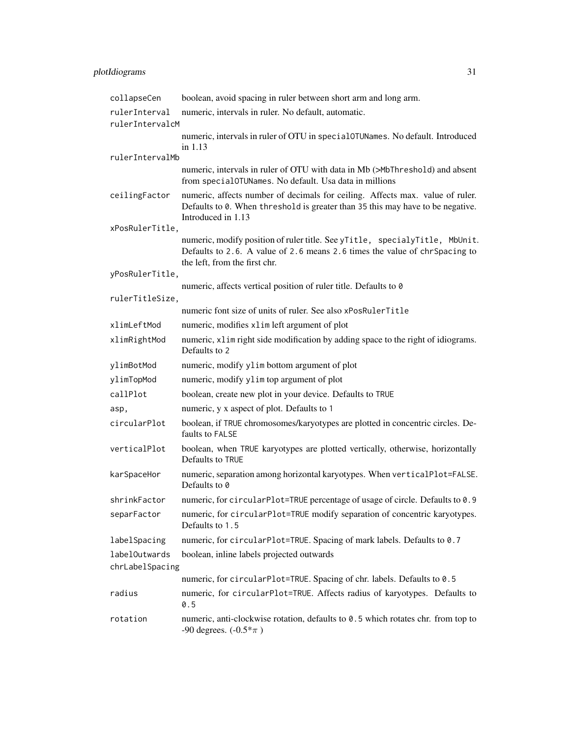| collapseCen     | boolean, avoid spacing in ruler between short arm and long arm.                                                                                                                            |  |
|-----------------|--------------------------------------------------------------------------------------------------------------------------------------------------------------------------------------------|--|
| rulerInterval   | numeric, intervals in ruler. No default, automatic.                                                                                                                                        |  |
| rulerIntervalcM |                                                                                                                                                                                            |  |
|                 | numeric, intervals in ruler of OTU in special OTUNames. No default. Introduced                                                                                                             |  |
| rulerIntervalMb | in 1.13                                                                                                                                                                                    |  |
|                 | numeric, intervals in ruler of OTU with data in Mb (>MbThreshold) and absent<br>from special0TUNames. No default. Usa data in millions                                                     |  |
| ceilingFactor   | numeric, affects number of decimals for ceiling. Affects max. value of ruler.<br>Defaults to 0. When threshold is greater than 35 this may have to be negative.<br>Introduced in 1.13      |  |
| xPosRulerTitle, |                                                                                                                                                                                            |  |
|                 | numeric, modify position of ruler title. See yTitle, specialyTitle, MbUnit.<br>Defaults to 2.6. A value of 2.6 means 2.6 times the value of chrSpacing to<br>the left, from the first chr. |  |
| yPosRulerTitle, |                                                                                                                                                                                            |  |
|                 | numeric, affects vertical position of ruler title. Defaults to 0                                                                                                                           |  |
| rulerTitleSize, | numeric font size of units of ruler. See also xPosRulerTitle                                                                                                                               |  |
| xlimLeftMod     |                                                                                                                                                                                            |  |
|                 | numeric, modifies xlim left argument of plot                                                                                                                                               |  |
| xlimRightMod    | numeric, x1im right side modification by adding space to the right of idiograms.<br>Defaults to 2                                                                                          |  |
| ylimBotMod      | numeric, modify yl im bottom argument of plot                                                                                                                                              |  |
| ylimTopMod      | numeric, modify ylim top argument of plot                                                                                                                                                  |  |
| callPlot        | boolean, create new plot in your device. Defaults to TRUE                                                                                                                                  |  |
| asp,            | numeric, y x aspect of plot. Defaults to 1                                                                                                                                                 |  |
| circularPlot    | boolean, if TRUE chromosomes/karyotypes are plotted in concentric circles. De-<br>faults to FALSE                                                                                          |  |
| verticalPlot    | boolean, when TRUE karyotypes are plotted vertically, otherwise, horizontally<br>Defaults to TRUE                                                                                          |  |
| karSpaceHor     | numeric, separation among horizontal karyotypes. When verticalPlot=FALSE.<br>Defaults to 0                                                                                                 |  |
| shrinkFactor    | numeric, for circularPlot=TRUE percentage of usage of circle. Defaults to 0.9                                                                                                              |  |
| separFactor     | numeric, for circularPlot=TRUE modify separation of concentric karyotypes.<br>Defaults to 1.5                                                                                              |  |
| labelSpacing    | numeric, for circularPlot=TRUE. Spacing of mark labels. Defaults to 0.7                                                                                                                    |  |
| labelOutwards   | boolean, inline labels projected outwards                                                                                                                                                  |  |
| chrLabelSpacing |                                                                                                                                                                                            |  |
|                 | numeric, for circularPlot=TRUE. Spacing of chr. labels. Defaults to 0.5                                                                                                                    |  |
| radius          | numeric, for circularPlot=TRUE. Affects radius of karyotypes. Defaults to<br>0.5                                                                                                           |  |
| rotation        | numeric, anti-clockwise rotation, defaults to 0.5 which rotates chr. from top to<br>-90 degrees. $(-0.5 * \pi)$                                                                            |  |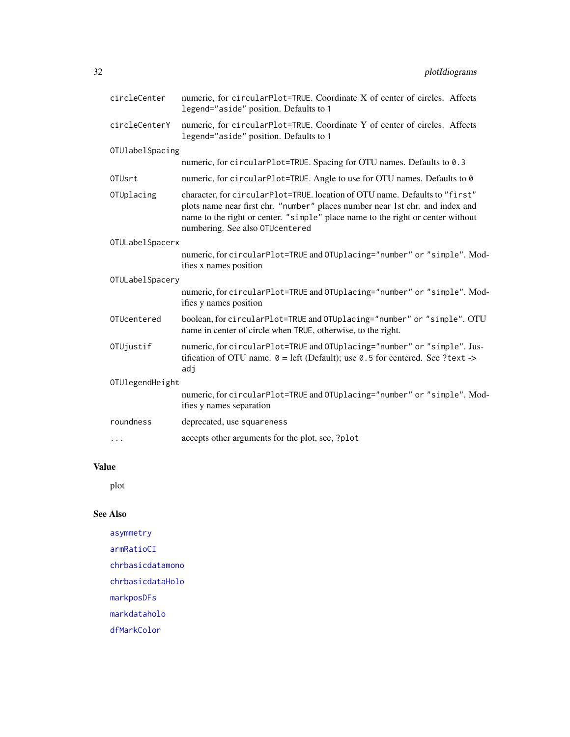<span id="page-31-0"></span>

| circleCenter       | numeric, for circularPlot=TRUE. Coordinate X of center of circles. Affects<br>legend="aside" position. Defaults to 1                                                                                                                                                               |  |
|--------------------|------------------------------------------------------------------------------------------------------------------------------------------------------------------------------------------------------------------------------------------------------------------------------------|--|
| circleCenterY      | numeric, for circularPlot=TRUE. Coordinate Y of center of circles. Affects<br>legend="aside" position. Defaults to 1                                                                                                                                                               |  |
| OTUlabelSpacing    |                                                                                                                                                                                                                                                                                    |  |
|                    | numeric, for circularPlot=TRUE. Spacing for OTU names. Defaults to 0.3                                                                                                                                                                                                             |  |
| 0TU <sub>srt</sub> | numeric, for circularPlot=TRUE. Angle to use for OTU names. Defaults to 0                                                                                                                                                                                                          |  |
| OTUplacing         | character, for circularPlot=TRUE. location of OTU name. Defaults to "first"<br>plots name near first chr. "number" places number near 1st chr. and index and<br>name to the right or center. "simple" place name to the right or center without<br>numbering. See also OTUcentered |  |
| OTULabelSpacerx    |                                                                                                                                                                                                                                                                                    |  |
|                    | numeric, for circularPlot=TRUE and OTUplacing="number" or "simple". Mod-<br>ifies x names position                                                                                                                                                                                 |  |
| OTULabelSpacery    |                                                                                                                                                                                                                                                                                    |  |
|                    | numeric, for circularPlot=TRUE and OTUplacing="number" or "simple". Mod-<br>ifies y names position                                                                                                                                                                                 |  |
| OTUcentered        | boolean, for circularPlot=TRUE and OTUplacing="number" or "simple". OTU<br>name in center of circle when TRUE, otherwise, to the right.                                                                                                                                            |  |
| OTUjustif          | numeric, for circularPlot=TRUE and OTUplacing="number" or "simple". Jus-<br>tification of OTU name. $\theta =$ left (Default); use 0.5 for centered. See ?text -><br>adj                                                                                                           |  |
| OTUlegendHeight    |                                                                                                                                                                                                                                                                                    |  |
|                    | numeric, for circularPlot=TRUE and OTUplacing="number" or "simple". Mod-<br>ifies y names separation                                                                                                                                                                               |  |
| roundness          | deprecated, use squareness                                                                                                                                                                                                                                                         |  |
| $\cdots$           | accepts other arguments for the plot, see, ?plot                                                                                                                                                                                                                                   |  |
|                    |                                                                                                                                                                                                                                                                                    |  |

# Value

plot

### See Also

[asymmetry](#page-2-2) [armRatioCI](#page-1-1) [chrbasicdatamono](#page-5-1) [chrbasicdataHolo](#page-4-1) [markposDFs](#page-14-1) [markdataholo](#page-13-1) [dfMarkColor](#page-9-1)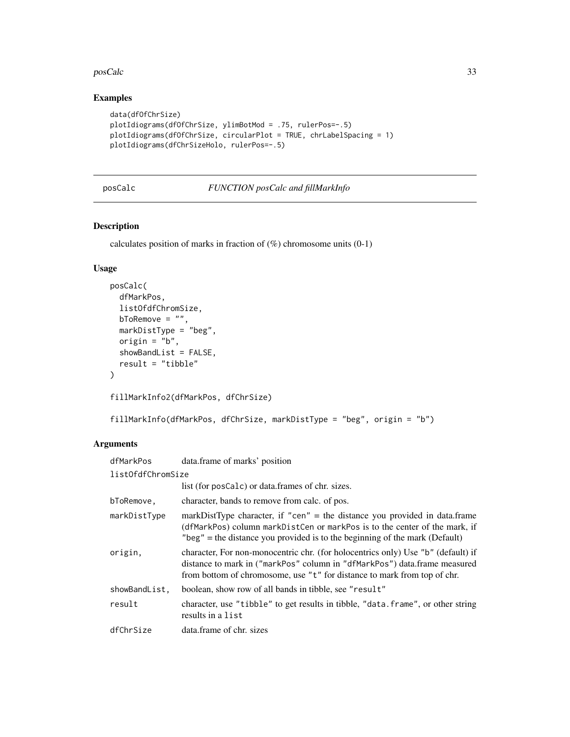#### <span id="page-32-0"></span>posCalc 33

### Examples

```
data(dfOfChrSize)
plotIdiograms(dfOfChrSize, ylimBotMod = .75, rulerPos=-.5)
plotIdiograms(dfOfChrSize, circularPlot = TRUE, chrLabelSpacing = 1)
plotIdiograms(dfChrSizeHolo, rulerPos=-.5)
```

```
posCalc FUNCTION posCalc and fillMarkInfo
```
#### Description

calculates position of marks in fraction of (%) chromosome units (0-1)

#### Usage

```
posCalc(
  dfMarkPos,
  listOfdfChromSize,
 bToRemove = "",
 markDistType = "beg",
 origin = "b",showBandList = FALSE,
  result = "tibble"
)
```
fillMarkInfo2(dfMarkPos, dfChrSize)

fillMarkInfo(dfMarkPos, dfChrSize, markDistType = "beg", origin = "b")

#### Arguments

| dfMarkPos         | data.frame of marks' position                                                                                                                                                                                                             |  |
|-------------------|-------------------------------------------------------------------------------------------------------------------------------------------------------------------------------------------------------------------------------------------|--|
| listOfdfChromSize |                                                                                                                                                                                                                                           |  |
|                   | list (for posCalc) or data.frames of chr. sizes.                                                                                                                                                                                          |  |
| bToRemove,        | character, bands to remove from calc. of pos.                                                                                                                                                                                             |  |
| markDistType      | markDistType character, if "cen" = the distance you provided in data.frame<br>(dfMarkPos) column markDistCen or markPos is to the center of the mark, if<br>"beg" = the distance you provided is to the beginning of the mark (Default)   |  |
| origin,           | character, For non-monocentric chr. (for holocentrics only) Use "b" (default) if<br>distance to mark in ("markPos" column in "dfMarkPos") data.frame measured<br>from bottom of chromosome, use "t" for distance to mark from top of chr. |  |
| showBandList,     | boolean, show row of all bands in tibble, see "result"                                                                                                                                                                                    |  |
| result            | character, use "tibble" to get results in tibble, "data. frame", or other string<br>results in a list                                                                                                                                     |  |
| dfChrSize         | data frame of chr. sizes                                                                                                                                                                                                                  |  |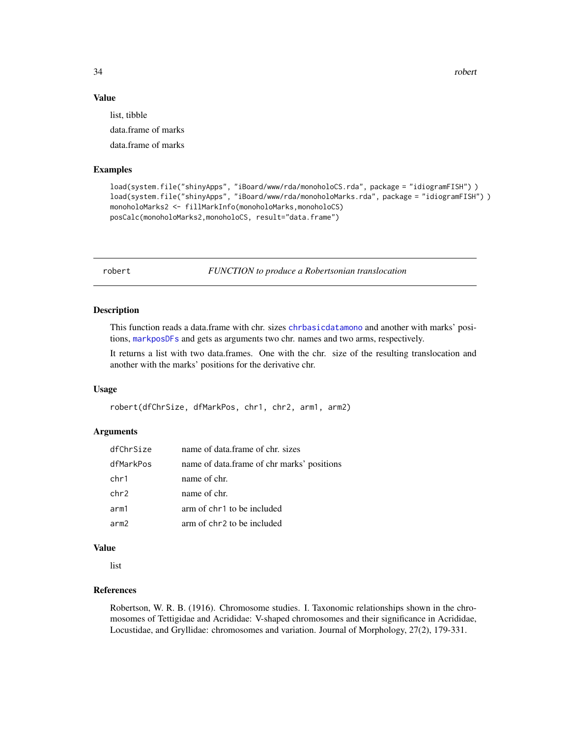34 robert

#### Value

list, tibble

data.frame of marks

data.frame of marks

#### Examples

```
load(system.file("shinyApps", "iBoard/www/rda/monoholoCS.rda", package = "idiogramFISH") )
load(system.file("shinyApps", "iBoard/www/rda/monoholoMarks.rda", package = "idiogramFISH") )
monoholoMarks2 <- fillMarkInfo(monoholoMarks,monoholoCS)
posCalc(monoholoMarks2,monoholoCS, result="data.frame")
```
robert *FUNCTION to produce a Robertsonian translocation*

#### Description

This function reads a data.frame with chr. sizes [chrbasicdatamono](#page-5-1) and another with marks' positions, [markposDFs](#page-14-1) and gets as arguments two chr. names and two arms, respectively.

It returns a list with two data.frames. One with the chr. size of the resulting translocation and another with the marks' positions for the derivative chr.

#### Usage

robert(dfChrSize, dfMarkPos, chr1, chr2, arm1, arm2)

#### Arguments

| dfChrSize | name of data.frame of chr. sizes           |
|-----------|--------------------------------------------|
| dfMarkPos | name of data.frame of chr marks' positions |
| chr1      | name of chr.                               |
| chr2      | name of chr.                               |
| arm1      | arm of chr1 to be included                 |
| arm2      | arm of chr2 to be included                 |

#### Value

list

#### References

Robertson, W. R. B. (1916). Chromosome studies. I. Taxonomic relationships shown in the chromosomes of Tettigidae and Acrididae: V-shaped chromosomes and their significance in Acrididae, Locustidae, and Gryllidae: chromosomes and variation. Journal of Morphology, 27(2), 179-331.

<span id="page-33-0"></span>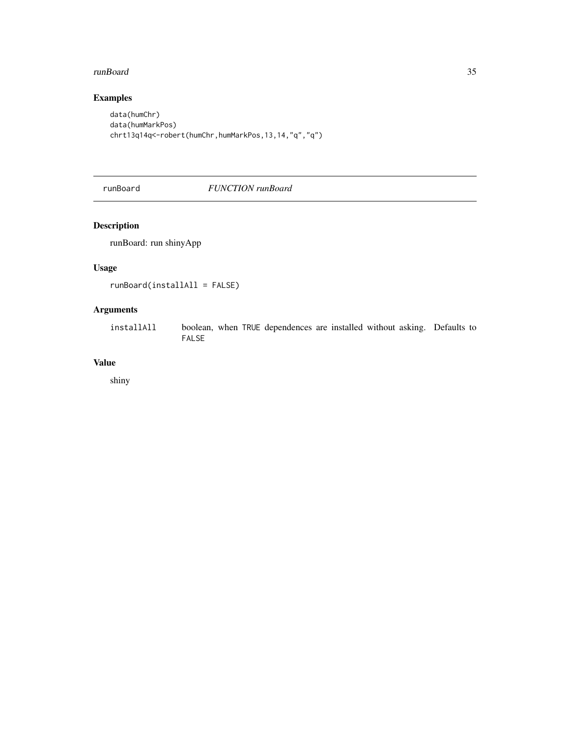#### <span id="page-34-0"></span>runBoard 35

# Examples

```
data(humChr)
data(humMarkPos)
chrt13q14q<-robert(humChr,humMarkPos,13,14,"q","q")
```
#### runBoard *FUNCTION runBoard*

# Description

runBoard: run shinyApp

#### Usage

```
runBoard(installAll = FALSE)
```
#### Arguments

installAll boolean, when TRUE dependences are installed without asking. Defaults to FALSE

#### Value

shiny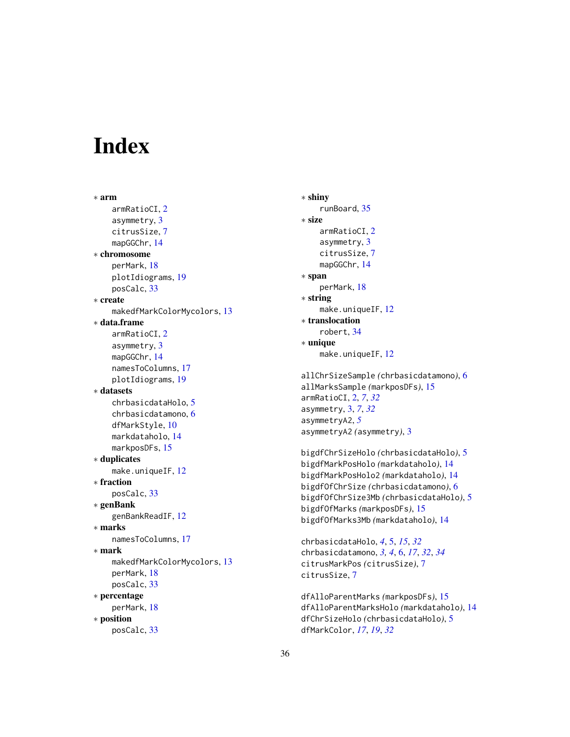# <span id="page-35-0"></span>**Index**

∗ arm armRatioCI, [2](#page-1-0) asymmetry, [3](#page-2-0) citrusSize, [7](#page-6-0) mapGGChr, [14](#page-13-0) ∗ chromosome perMark, [18](#page-17-0) plotIdiograms, [19](#page-18-0) posCalc, [33](#page-32-0) ∗ create makedfMarkColorMycolors, [13](#page-12-0) ∗ data.frame armRatioCI, [2](#page-1-0) asymmetry, [3](#page-2-0) mapGGChr, [14](#page-13-0) namesToColumns, [17](#page-16-0) plotIdiograms, [19](#page-18-0) ∗ datasets chrbasicdataHolo, [5](#page-4-0) chrbasicdatamono, [6](#page-5-0) dfMarkStyle, [10](#page-9-0) markdataholo, [14](#page-13-0) markposDFs, [15](#page-14-0) ∗ duplicates make.uniqueIF, [12](#page-11-0) ∗ fraction posCalc, [33](#page-32-0) ∗ genBank genBankReadIF, [12](#page-11-0) ∗ marks namesToColumns, [17](#page-16-0) ∗ mark makedfMarkColorMycolors, [13](#page-12-0) perMark, [18](#page-17-0) posCalc, [33](#page-32-0) ∗ percentage perMark, [18](#page-17-0) ∗ position posCalc, [33](#page-32-0)

∗ shiny runBoard, [35](#page-34-0) ∗ size armRatioCI, [2](#page-1-0) asymmetry, [3](#page-2-0) citrusSize, [7](#page-6-0) mapGGChr, [14](#page-13-0) ∗ span perMark, [18](#page-17-0) ∗ string make.uniqueIF, [12](#page-11-0) ∗ translocation robert, [34](#page-33-0) ∗ unique make.uniqueIF, [12](#page-11-0) allChrSizeSample *(*chrbasicdatamono*)*, [6](#page-5-0) allMarksSample *(*markposDFs*)*, [15](#page-14-0) armRatioCI, [2,](#page-1-0) *[7](#page-6-0)*, *[32](#page-31-0)* asymmetry, [3,](#page-2-0) *[7](#page-6-0)*, *[32](#page-31-0)*

bigdfChrSizeHolo *(*chrbasicdataHolo*)*, [5](#page-4-0) bigdfMarkPosHolo *(*markdataholo*)*, [14](#page-13-0) bigdfMarkPosHolo2 *(*markdataholo*)*, [14](#page-13-0) bigdfOfChrSize *(*chrbasicdatamono*)*, [6](#page-5-0) bigdfOfChrSize3Mb *(*chrbasicdataHolo*)*, [5](#page-4-0) bigdfOfMarks *(*markposDFs*)*, [15](#page-14-0) bigdfOfMarks3Mb *(*markdataholo*)*, [14](#page-13-0)

asymmetryA2, *[5](#page-4-0)*

asymmetryA2 *(*asymmetry*)*, [3](#page-2-0)

chrbasicdataHolo, *[4](#page-3-0)*, [5,](#page-4-0) *[15](#page-14-0)*, *[32](#page-31-0)* chrbasicdatamono, *[3,](#page-2-0) [4](#page-3-0)*, [6,](#page-5-0) *[17](#page-16-0)*, *[32](#page-31-0)*, *[34](#page-33-0)* citrusMarkPos *(*citrusSize*)*, [7](#page-6-0) citrusSize, [7](#page-6-0)

dfAlloParentMarks *(*markposDFs*)*, [15](#page-14-0) dfAlloParentMarksHolo *(*markdataholo*)*, [14](#page-13-0) dfChrSizeHolo *(*chrbasicdataHolo*)*, [5](#page-4-0) dfMarkColor, *[17](#page-16-0)*, *[19](#page-18-0)*, *[32](#page-31-0)*